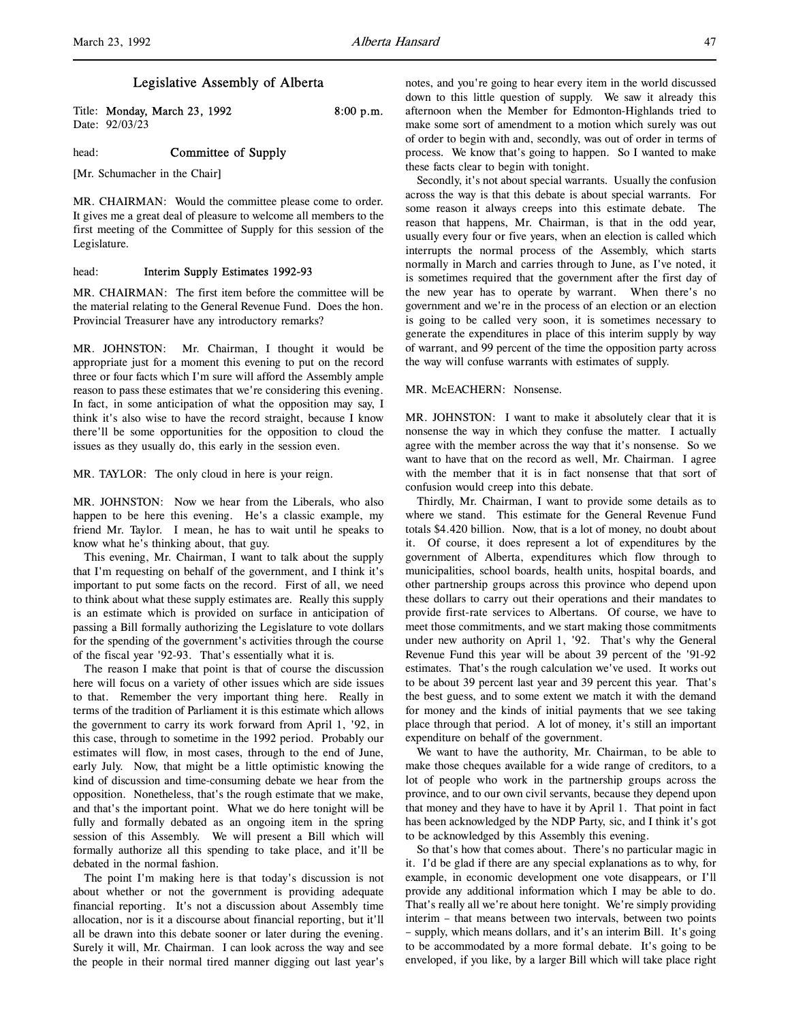# Legislative Assembly of Alberta

Title: **Monday, March 23, 1992** 8:00 p.m. Date: 92/03/23

head: **Committee of Supply** 

[Mr. Schumacher in the Chair]

MR. CHAIRMAN: Would the committee please come to order. It gives me a great deal of pleasure to welcome all members to the first meeting of the Committee of Supply for this session of the Legislature.

# head: **Interim Supply Estimates 1992-93**

MR. CHAIRMAN: The first item before the committee will be the material relating to the General Revenue Fund. Does the hon. Provincial Treasurer have any introductory remarks?

MR. JOHNSTON: Mr. Chairman, I thought it would be appropriate just for a moment this evening to put on the record three or four facts which I'm sure will afford the Assembly ample reason to pass these estimates that we're considering this evening. In fact, in some anticipation of what the opposition may say, I think it's also wise to have the record straight, because I know there'll be some opportunities for the opposition to cloud the issues as they usually do, this early in the session even.

MR. TAYLOR: The only cloud in here is your reign.

MR. JOHNSTON: Now we hear from the Liberals, who also happen to be here this evening. He's a classic example, my friend Mr. Taylor. I mean, he has to wait until he speaks to know what he's thinking about, that guy.

This evening, Mr. Chairman, I want to talk about the supply that I'm requesting on behalf of the government, and I think it's important to put some facts on the record. First of all, we need to think about what these supply estimates are. Really this supply is an estimate which is provided on surface in anticipation of passing a Bill formally authorizing the Legislature to vote dollars for the spending of the government's activities through the course of the fiscal year '92-93. That's essentially what it is.

The reason I make that point is that of course the discussion here will focus on a variety of other issues which are side issues to that. Remember the very important thing here. Really in terms of the tradition of Parliament it is this estimate which allows the government to carry its work forward from April 1, '92, in this case, through to sometime in the 1992 period. Probably our estimates will flow, in most cases, through to the end of June, early July. Now, that might be a little optimistic knowing the kind of discussion and time-consuming debate we hear from the opposition. Nonetheless, that's the rough estimate that we make, and that's the important point. What we do here tonight will be fully and formally debated as an ongoing item in the spring session of this Assembly. We will present a Bill which will formally authorize all this spending to take place, and it'll be debated in the normal fashion.

The point I'm making here is that today's discussion is not about whether or not the government is providing adequate financial reporting. It's not a discussion about Assembly time allocation, nor is it a discourse about financial reporting, but it'll all be drawn into this debate sooner or later during the evening. Surely it will, Mr. Chairman. I can look across the way and see the people in their normal tired manner digging out last year's

notes, and you're going to hear every item in the world discussed down to this little question of supply. We saw it already this afternoon when the Member for Edmonton-Highlands tried to make some sort of amendment to a motion which surely was out of order to begin with and, secondly, was out of order in terms of process. We know that's going to happen. So I wanted to make these facts clear to begin with tonight.

Secondly, it's not about special warrants. Usually the confusion across the way is that this debate is about special warrants. For some reason it always creeps into this estimate debate. The reason that happens, Mr. Chairman, is that in the odd year, usually every four or five years, when an election is called which interrupts the normal process of the Assembly, which starts normally in March and carries through to June, as I've noted, it is sometimes required that the government after the first day of the new year has to operate by warrant. When there's no government and we're in the process of an election or an election is going to be called very soon, it is sometimes necessary to generate the expenditures in place of this interim supply by way of warrant, and 99 percent of the time the opposition party across the way will confuse warrants with estimates of supply.

## MR. McEACHERN: Nonsense.

MR. JOHNSTON: I want to make it absolutely clear that it is nonsense the way in which they confuse the matter. I actually agree with the member across the way that it's nonsense. So we want to have that on the record as well, Mr. Chairman. I agree with the member that it is in fact nonsense that that sort of confusion would creep into this debate.

Thirdly, Mr. Chairman, I want to provide some details as to where we stand. This estimate for the General Revenue Fund totals \$4.420 billion. Now, that is a lot of money, no doubt about it. Of course, it does represent a lot of expenditures by the government of Alberta, expenditures which flow through to municipalities, school boards, health units, hospital boards, and other partnership groups across this province who depend upon these dollars to carry out their operations and their mandates to provide first-rate services to Albertans. Of course, we have to meet those commitments, and we start making those commitments under new authority on April 1, '92. That's why the General Revenue Fund this year will be about 39 percent of the '91-92 estimates. That's the rough calculation we've used. It works out to be about 39 percent last year and 39 percent this year. That's the best guess, and to some extent we match it with the demand for money and the kinds of initial payments that we see taking place through that period. A lot of money, it's still an important expenditure on behalf of the government.

We want to have the authority, Mr. Chairman, to be able to make those cheques available for a wide range of creditors, to a lot of people who work in the partnership groups across the province, and to our own civil servants, because they depend upon that money and they have to have it by April 1. That point in fact has been acknowledged by the NDP Party, sic, and I think it's got to be acknowledged by this Assembly this evening.

So that's how that comes about. There's no particular magic in it. I'd be glad if there are any special explanations as to why, for example, in economic development one vote disappears, or I'll provide any additional information which I may be able to do. That's really all we're about here tonight. We're simply providing interim – that means between two intervals, between two points – supply, which means dollars, and it's an interim Bill. It's going to be accommodated by a more formal debate. It's going to be enveloped, if you like, by a larger Bill which will take place right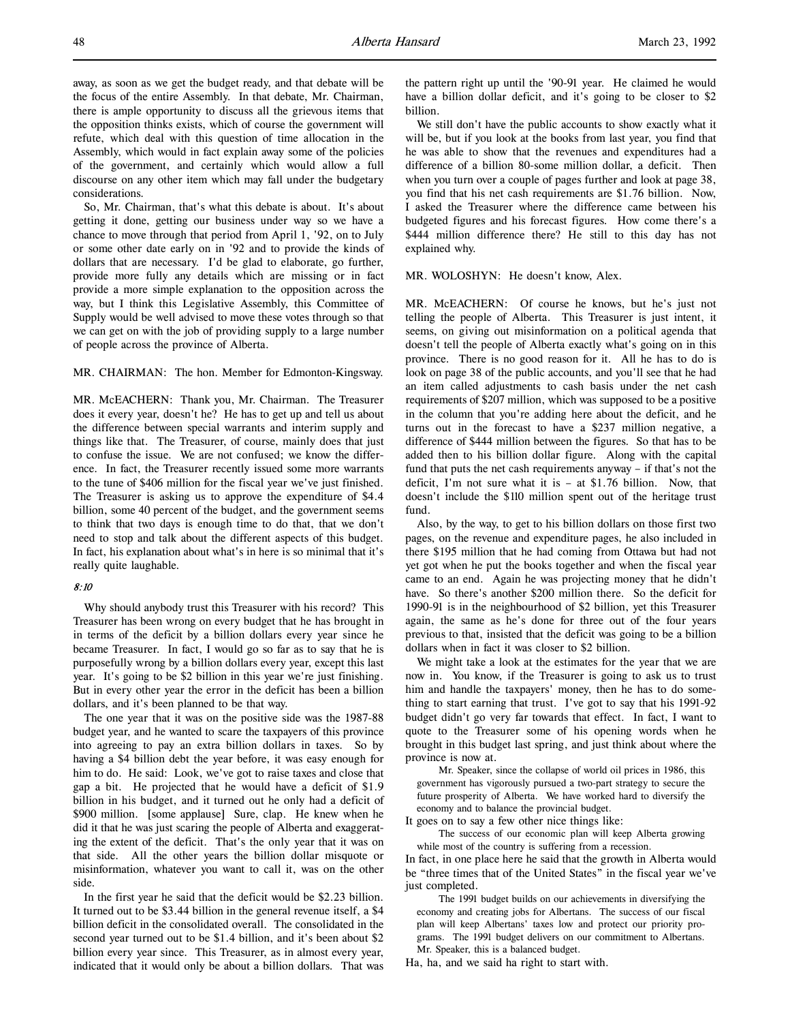away, as soon as we get the budget ready, and that debate will be the focus of the entire Assembly. In that debate, Mr. Chairman, there is ample opportunity to discuss all the grievous items that the opposition thinks exists, which of course the government will refute, which deal with this question of time allocation in the Assembly, which would in fact explain away some of the policies of the government, and certainly which would allow a full discourse on any other item which may fall under the budgetary considerations.

So, Mr. Chairman, that's what this debate is about. It's about getting it done, getting our business under way so we have a chance to move through that period from April 1, '92, on to July or some other date early on in '92 and to provide the kinds of dollars that are necessary. I'd be glad to elaborate, go further, provide more fully any details which are missing or in fact provide a more simple explanation to the opposition across the way, but I think this Legislative Assembly, this Committee of Supply would be well advised to move these votes through so that we can get on with the job of providing supply to a large number of people across the province of Alberta.

MR. CHAIRMAN: The hon. Member for Edmonton-Kingsway.

MR. McEACHERN: Thank you, Mr. Chairman. The Treasurer does it every year, doesn't he? He has to get up and tell us about the difference between special warrants and interim supply and things like that. The Treasurer, of course, mainly does that just to confuse the issue. We are not confused; we know the difference. In fact, the Treasurer recently issued some more warrants to the tune of \$406 million for the fiscal year we've just finished. The Treasurer is asking us to approve the expenditure of \$4.4 billion, some 40 percent of the budget, and the government seems to think that two days is enough time to do that, that we don't need to stop and talk about the different aspects of this budget. In fact, his explanation about what's in here is so minimal that it's really quite laughable.

# 8:10

Why should anybody trust this Treasurer with his record? This Treasurer has been wrong on every budget that he has brought in in terms of the deficit by a billion dollars every year since he became Treasurer. In fact, I would go so far as to say that he is purposefully wrong by a billion dollars every year, except this last year. It's going to be \$2 billion in this year we're just finishing. But in every other year the error in the deficit has been a billion dollars, and it's been planned to be that way.

The one year that it was on the positive side was the 1987-88 budget year, and he wanted to scare the taxpayers of this province into agreeing to pay an extra billion dollars in taxes. So by having a \$4 billion debt the year before, it was easy enough for him to do. He said: Look, we've got to raise taxes and close that gap a bit. He projected that he would have a deficit of \$1.9 billion in his budget, and it turned out he only had a deficit of \$900 million. [some applause] Sure, clap. He knew when he did it that he was just scaring the people of Alberta and exaggerating the extent of the deficit. That's the only year that it was on that side. All the other years the billion dollar misquote or misinformation, whatever you want to call it, was on the other side.

In the first year he said that the deficit would be \$2.23 billion. It turned out to be \$3.44 billion in the general revenue itself, a \$4 billion deficit in the consolidated overall. The consolidated in the second year turned out to be \$1.4 billion, and it's been about \$2 billion every year since. This Treasurer, as in almost every year, indicated that it would only be about a billion dollars. That was the pattern right up until the '90-91 year. He claimed he would have a billion dollar deficit, and it's going to be closer to \$2 billion.

We still don't have the public accounts to show exactly what it will be, but if you look at the books from last year, you find that he was able to show that the revenues and expenditures had a difference of a billion 80-some million dollar, a deficit. Then when you turn over a couple of pages further and look at page 38, you find that his net cash requirements are \$1.76 billion. Now, I asked the Treasurer where the difference came between his budgeted figures and his forecast figures. How come there's a \$444 million difference there? He still to this day has not explained why.

MR. WOLOSHYN: He doesn't know, Alex.

MR. McEACHERN: Of course he knows, but he's just not telling the people of Alberta. This Treasurer is just intent, it seems, on giving out misinformation on a political agenda that doesn't tell the people of Alberta exactly what's going on in this province. There is no good reason for it. All he has to do is look on page 38 of the public accounts, and you'll see that he had an item called adjustments to cash basis under the net cash requirements of \$207 million, which was supposed to be a positive in the column that you're adding here about the deficit, and he turns out in the forecast to have a \$237 million negative, a difference of \$444 million between the figures. So that has to be added then to his billion dollar figure. Along with the capital fund that puts the net cash requirements anyway – if that's not the deficit, I'm not sure what it is – at \$1.76 billion. Now, that doesn't include the \$110 million spent out of the heritage trust fund.

Also, by the way, to get to his billion dollars on those first two pages, on the revenue and expenditure pages, he also included in there \$195 million that he had coming from Ottawa but had not yet got when he put the books together and when the fiscal year came to an end. Again he was projecting money that he didn't have. So there's another \$200 million there. So the deficit for 1990-91 is in the neighbourhood of \$2 billion, yet this Treasurer again, the same as he's done for three out of the four years previous to that, insisted that the deficit was going to be a billion dollars when in fact it was closer to \$2 billion.

We might take a look at the estimates for the year that we are now in. You know, if the Treasurer is going to ask us to trust him and handle the taxpayers' money, then he has to do something to start earning that trust. I've got to say that his 1991-92 budget didn't go very far towards that effect. In fact, I want to quote to the Treasurer some of his opening words when he brought in this budget last spring, and just think about where the province is now at.

Mr. Speaker, since the collapse of world oil prices in 1986, this government has vigorously pursued a two-part strategy to secure the future prosperity of Alberta. We have worked hard to diversify the economy and to balance the provincial budget.

It goes on to say a few other nice things like:

The success of our economic plan will keep Alberta growing while most of the country is suffering from a recession.

In fact, in one place here he said that the growth in Alberta would be "three times that of the United States" in the fiscal year we've just completed.

The 1991 budget builds on our achievements in diversifying the economy and creating jobs for Albertans. The success of our fiscal plan will keep Albertans' taxes low and protect our priority programs. The 1991 budget delivers on our commitment to Albertans. Mr. Speaker, this is a balanced budget.

Ha, ha, and we said ha right to start with.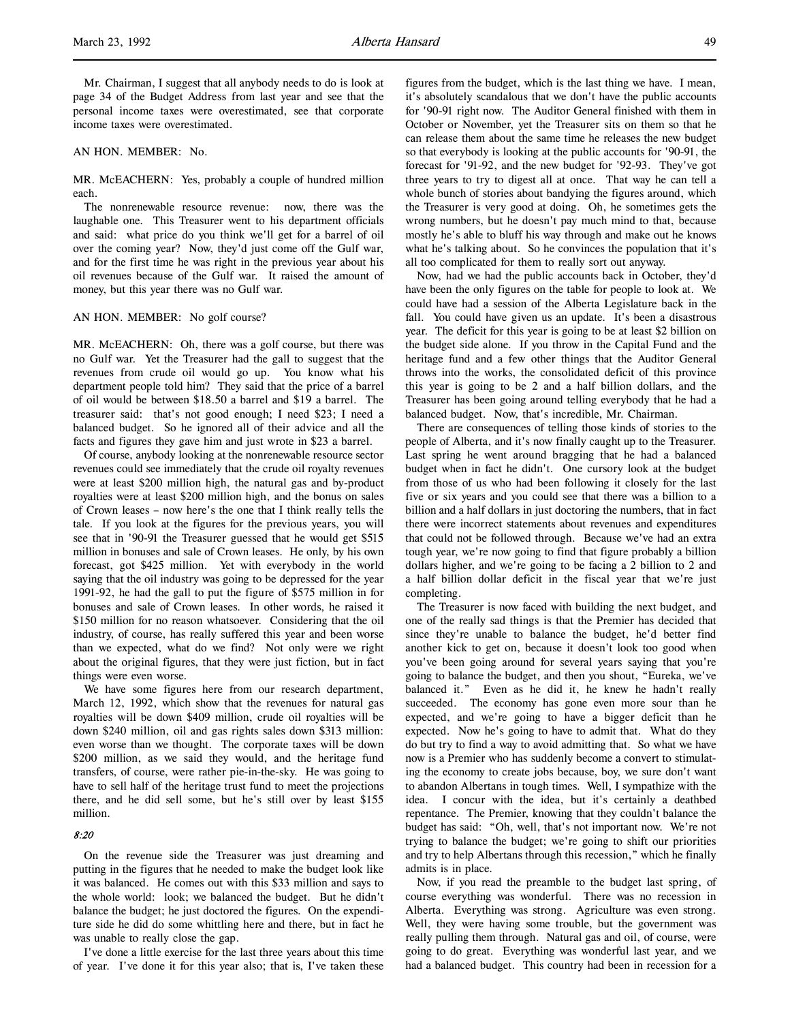Mr. Chairman, I suggest that all anybody needs to do is look at page 34 of the Budget Address from last year and see that the personal income taxes were overestimated, see that corporate income taxes were overestimated.

AN HON. MEMBER: No.

MR. McEACHERN: Yes, probably a couple of hundred million each.

The nonrenewable resource revenue: now, there was the laughable one. This Treasurer went to his department officials and said: what price do you think we'll get for a barrel of oil over the coming year? Now, they'd just come off the Gulf war, and for the first time he was right in the previous year about his oil revenues because of the Gulf war. It raised the amount of money, but this year there was no Gulf war.

## AN HON. MEMBER: No golf course?

MR. McEACHERN: Oh, there was a golf course, but there was no Gulf war. Yet the Treasurer had the gall to suggest that the revenues from crude oil would go up. You know what his department people told him? They said that the price of a barrel of oil would be between \$18.50 a barrel and \$19 a barrel. The treasurer said: that's not good enough; I need \$23; I need a balanced budget. So he ignored all of their advice and all the facts and figures they gave him and just wrote in \$23 a barrel.

Of course, anybody looking at the nonrenewable resource sector revenues could see immediately that the crude oil royalty revenues were at least \$200 million high, the natural gas and by-product royalties were at least \$200 million high, and the bonus on sales of Crown leases – now here's the one that I think really tells the tale. If you look at the figures for the previous years, you will see that in '90-91 the Treasurer guessed that he would get \$515 million in bonuses and sale of Crown leases. He only, by his own forecast, got \$425 million. Yet with everybody in the world saying that the oil industry was going to be depressed for the year 1991-92, he had the gall to put the figure of \$575 million in for bonuses and sale of Crown leases. In other words, he raised it \$150 million for no reason whatsoever. Considering that the oil industry, of course, has really suffered this year and been worse than we expected, what do we find? Not only were we right about the original figures, that they were just fiction, but in fact things were even worse.

We have some figures here from our research department, March 12, 1992, which show that the revenues for natural gas royalties will be down \$409 million, crude oil royalties will be down \$240 million, oil and gas rights sales down \$313 million: even worse than we thought. The corporate taxes will be down \$200 million, as we said they would, and the heritage fund transfers, of course, were rather pie-in-the-sky. He was going to have to sell half of the heritage trust fund to meet the projections there, and he did sell some, but he's still over by least \$155 million.

#### 8:20

On the revenue side the Treasurer was just dreaming and putting in the figures that he needed to make the budget look like it was balanced. He comes out with this \$33 million and says to the whole world: look; we balanced the budget. But he didn't balance the budget; he just doctored the figures. On the expenditure side he did do some whittling here and there, but in fact he was unable to really close the gap.

I've done a little exercise for the last three years about this time of year. I've done it for this year also; that is, I've taken these figures from the budget, which is the last thing we have. I mean, it's absolutely scandalous that we don't have the public accounts for '90-91 right now. The Auditor General finished with them in October or November, yet the Treasurer sits on them so that he can release them about the same time he releases the new budget so that everybody is looking at the public accounts for '90-91, the forecast for '91-92, and the new budget for '92-93. They've got three years to try to digest all at once. That way he can tell a whole bunch of stories about bandying the figures around, which the Treasurer is very good at doing. Oh, he sometimes gets the wrong numbers, but he doesn't pay much mind to that, because mostly he's able to bluff his way through and make out he knows what he's talking about. So he convinces the population that it's all too complicated for them to really sort out anyway.

Now, had we had the public accounts back in October, they'd have been the only figures on the table for people to look at. We could have had a session of the Alberta Legislature back in the fall. You could have given us an update. It's been a disastrous year. The deficit for this year is going to be at least \$2 billion on the budget side alone. If you throw in the Capital Fund and the heritage fund and a few other things that the Auditor General throws into the works, the consolidated deficit of this province this year is going to be 2 and a half billion dollars, and the Treasurer has been going around telling everybody that he had a balanced budget. Now, that's incredible, Mr. Chairman.

There are consequences of telling those kinds of stories to the people of Alberta, and it's now finally caught up to the Treasurer. Last spring he went around bragging that he had a balanced budget when in fact he didn't. One cursory look at the budget from those of us who had been following it closely for the last five or six years and you could see that there was a billion to a billion and a half dollars in just doctoring the numbers, that in fact there were incorrect statements about revenues and expenditures that could not be followed through. Because we've had an extra tough year, we're now going to find that figure probably a billion dollars higher, and we're going to be facing a 2 billion to 2 and a half billion dollar deficit in the fiscal year that we're just completing.

The Treasurer is now faced with building the next budget, and one of the really sad things is that the Premier has decided that since they're unable to balance the budget, he'd better find another kick to get on, because it doesn't look too good when you've been going around for several years saying that you're going to balance the budget, and then you shout, "Eureka, we've balanced it." Even as he did it, he knew he hadn't really succeeded. The economy has gone even more sour than he expected, and we're going to have a bigger deficit than he expected. Now he's going to have to admit that. What do they do but try to find a way to avoid admitting that. So what we have now is a Premier who has suddenly become a convert to stimulating the economy to create jobs because, boy, we sure don't want to abandon Albertans in tough times. Well, I sympathize with the idea. I concur with the idea, but it's certainly a deathbed repentance. The Premier, knowing that they couldn't balance the budget has said: "Oh, well, that's not important now. We're not trying to balance the budget; we're going to shift our priorities and try to help Albertans through this recession," which he finally admits is in place.

Now, if you read the preamble to the budget last spring, of course everything was wonderful. There was no recession in Alberta. Everything was strong. Agriculture was even strong. Well, they were having some trouble, but the government was really pulling them through. Natural gas and oil, of course, were going to do great. Everything was wonderful last year, and we had a balanced budget. This country had been in recession for a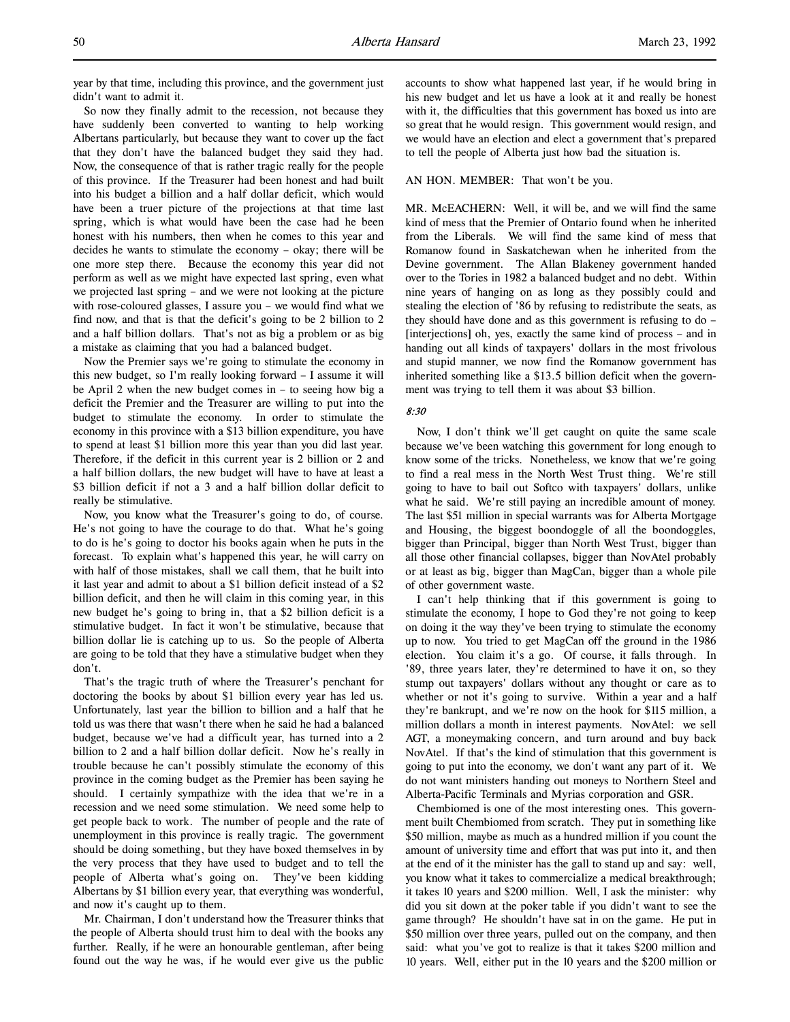year by that time, including this province, and the government just didn't want to admit it.

So now they finally admit to the recession, not because they have suddenly been converted to wanting to help working Albertans particularly, but because they want to cover up the fact that they don't have the balanced budget they said they had. Now, the consequence of that is rather tragic really for the people of this province. If the Treasurer had been honest and had built into his budget a billion and a half dollar deficit, which would have been a truer picture of the projections at that time last spring, which is what would have been the case had he been honest with his numbers, then when he comes to this year and decides he wants to stimulate the economy – okay; there will be one more step there. Because the economy this year did not perform as well as we might have expected last spring, even what we projected last spring – and we were not looking at the picture with rose-coloured glasses, I assure you – we would find what we find now, and that is that the deficit's going to be 2 billion to 2 and a half billion dollars. That's not as big a problem or as big a mistake as claiming that you had a balanced budget.

Now the Premier says we're going to stimulate the economy in this new budget, so I'm really looking forward – I assume it will be April 2 when the new budget comes in – to seeing how big a deficit the Premier and the Treasurer are willing to put into the budget to stimulate the economy. In order to stimulate the economy in this province with a \$13 billion expenditure, you have to spend at least \$1 billion more this year than you did last year. Therefore, if the deficit in this current year is 2 billion or 2 and a half billion dollars, the new budget will have to have at least a \$3 billion deficit if not a 3 and a half billion dollar deficit to really be stimulative.

Now, you know what the Treasurer's going to do, of course. He's not going to have the courage to do that. What he's going to do is he's going to doctor his books again when he puts in the forecast. To explain what's happened this year, he will carry on with half of those mistakes, shall we call them, that he built into it last year and admit to about a \$1 billion deficit instead of a \$2 billion deficit, and then he will claim in this coming year, in this new budget he's going to bring in, that a \$2 billion deficit is a stimulative budget. In fact it won't be stimulative, because that billion dollar lie is catching up to us. So the people of Alberta are going to be told that they have a stimulative budget when they don't.

That's the tragic truth of where the Treasurer's penchant for doctoring the books by about \$1 billion every year has led us. Unfortunately, last year the billion to billion and a half that he told us was there that wasn't there when he said he had a balanced budget, because we've had a difficult year, has turned into a 2 billion to 2 and a half billion dollar deficit. Now he's really in trouble because he can't possibly stimulate the economy of this province in the coming budget as the Premier has been saying he should. I certainly sympathize with the idea that we're in a recession and we need some stimulation. We need some help to get people back to work. The number of people and the rate of unemployment in this province is really tragic. The government should be doing something, but they have boxed themselves in by the very process that they have used to budget and to tell the people of Alberta what's going on. They've been kidding Albertans by \$1 billion every year, that everything was wonderful, and now it's caught up to them.

Mr. Chairman, I don't understand how the Treasurer thinks that the people of Alberta should trust him to deal with the books any further. Really, if he were an honourable gentleman, after being found out the way he was, if he would ever give us the public

accounts to show what happened last year, if he would bring in his new budget and let us have a look at it and really be honest with it, the difficulties that this government has boxed us into are so great that he would resign. This government would resign, and we would have an election and elect a government that's prepared to tell the people of Alberta just how bad the situation is.

### AN HON. MEMBER: That won't be you.

MR. McEACHERN: Well, it will be, and we will find the same kind of mess that the Premier of Ontario found when he inherited from the Liberals. We will find the same kind of mess that Romanow found in Saskatchewan when he inherited from the Devine government. The Allan Blakeney government handed over to the Tories in 1982 a balanced budget and no debt. Within nine years of hanging on as long as they possibly could and stealing the election of '86 by refusing to redistribute the seats, as they should have done and as this government is refusing to do – [interjections] oh, yes, exactly the same kind of process – and in handing out all kinds of taxpayers' dollars in the most frivolous and stupid manner, we now find the Romanow government has inherited something like a \$13.5 billion deficit when the government was trying to tell them it was about \$3 billion.

### 8:30

Now, I don't think we'll get caught on quite the same scale because we've been watching this government for long enough to know some of the tricks. Nonetheless, we know that we're going to find a real mess in the North West Trust thing. We're still going to have to bail out Softco with taxpayers' dollars, unlike what he said. We're still paying an incredible amount of money. The last \$51 million in special warrants was for Alberta Mortgage and Housing, the biggest boondoggle of all the boondoggles, bigger than Principal, bigger than North West Trust, bigger than all those other financial collapses, bigger than NovAtel probably or at least as big, bigger than MagCan, bigger than a whole pile of other government waste.

I can't help thinking that if this government is going to stimulate the economy, I hope to God they're not going to keep on doing it the way they've been trying to stimulate the economy up to now. You tried to get MagCan off the ground in the 1986 election. You claim it's a go. Of course, it falls through. In '89, three years later, they're determined to have it on, so they stump out taxpayers' dollars without any thought or care as to whether or not it's going to survive. Within a year and a half they're bankrupt, and we're now on the hook for \$115 million, a million dollars a month in interest payments. NovAtel: we sell AGT, a moneymaking concern, and turn around and buy back NovAtel. If that's the kind of stimulation that this government is going to put into the economy, we don't want any part of it. We do not want ministers handing out moneys to Northern Steel and Alberta-Pacific Terminals and Myrias corporation and GSR.

Chembiomed is one of the most interesting ones. This government built Chembiomed from scratch. They put in something like \$50 million, maybe as much as a hundred million if you count the amount of university time and effort that was put into it, and then at the end of it the minister has the gall to stand up and say: well, you know what it takes to commercialize a medical breakthrough; it takes 10 years and \$200 million. Well, I ask the minister: why did you sit down at the poker table if you didn't want to see the game through? He shouldn't have sat in on the game. He put in \$50 million over three years, pulled out on the company, and then said: what you've got to realize is that it takes \$200 million and 10 years. Well, either put in the 10 years and the \$200 million or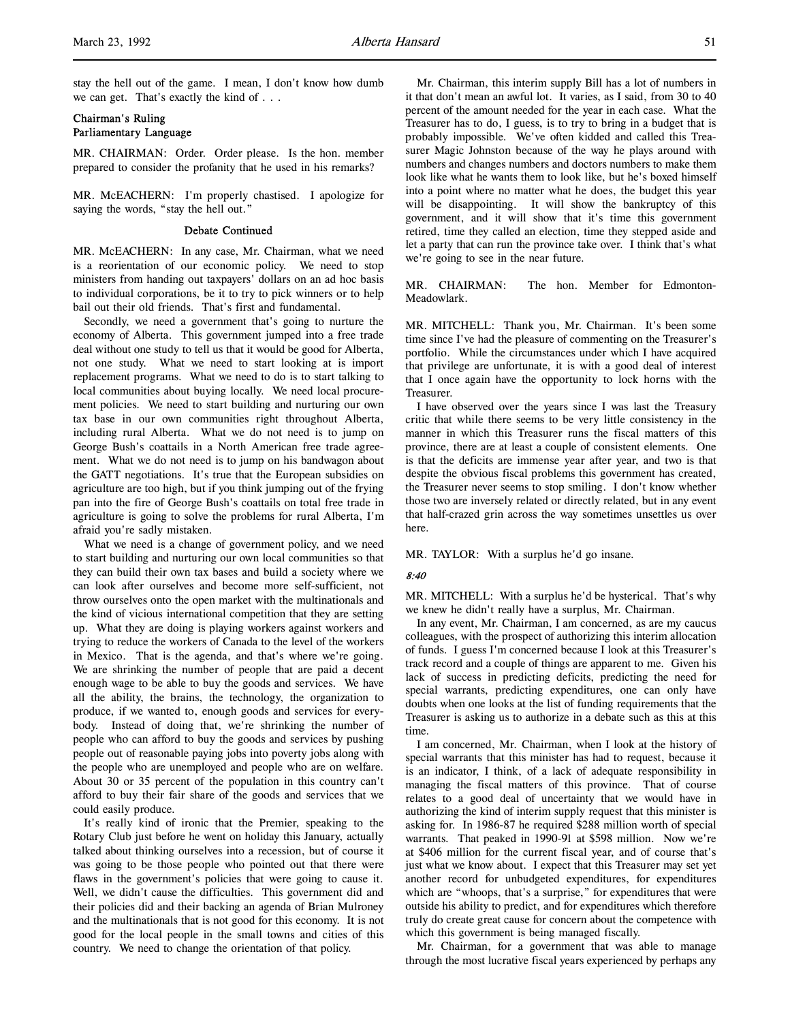stay the hell out of the game. I mean, I don't know how dumb we can get. That's exactly the kind of . . .

# Chairman's Ruling Parliamentary Language

MR. CHAIRMAN: Order. Order please. Is the hon. member prepared to consider the profanity that he used in his remarks?

MR. McEACHERN: I'm properly chastised. I apologize for saying the words, "stay the hell out."

### Debate Continued

MR. McEACHERN: In any case, Mr. Chairman, what we need is a reorientation of our economic policy. We need to stop ministers from handing out taxpayers' dollars on an ad hoc basis to individual corporations, be it to try to pick winners or to help bail out their old friends. That's first and fundamental.

Secondly, we need a government that's going to nurture the economy of Alberta. This government jumped into a free trade deal without one study to tell us that it would be good for Alberta, not one study. What we need to start looking at is import replacement programs. What we need to do is to start talking to local communities about buying locally. We need local procurement policies. We need to start building and nurturing our own tax base in our own communities right throughout Alberta, including rural Alberta. What we do not need is to jump on George Bush's coattails in a North American free trade agreement. What we do not need is to jump on his bandwagon about the GATT negotiations. It's true that the European subsidies on agriculture are too high, but if you think jumping out of the frying pan into the fire of George Bush's coattails on total free trade in agriculture is going to solve the problems for rural Alberta, I'm afraid you're sadly mistaken.

What we need is a change of government policy, and we need to start building and nurturing our own local communities so that they can build their own tax bases and build a society where we can look after ourselves and become more self-sufficient, not throw ourselves onto the open market with the multinationals and the kind of vicious international competition that they are setting up. What they are doing is playing workers against workers and trying to reduce the workers of Canada to the level of the workers in Mexico. That is the agenda, and that's where we're going. We are shrinking the number of people that are paid a decent enough wage to be able to buy the goods and services. We have all the ability, the brains, the technology, the organization to produce, if we wanted to, enough goods and services for everybody. Instead of doing that, we're shrinking the number of people who can afford to buy the goods and services by pushing people out of reasonable paying jobs into poverty jobs along with the people who are unemployed and people who are on welfare. About 30 or 35 percent of the population in this country can't afford to buy their fair share of the goods and services that we could easily produce.

It's really kind of ironic that the Premier, speaking to the Rotary Club just before he went on holiday this January, actually talked about thinking ourselves into a recession, but of course it was going to be those people who pointed out that there were flaws in the government's policies that were going to cause it. Well, we didn't cause the difficulties. This government did and their policies did and their backing an agenda of Brian Mulroney and the multinationals that is not good for this economy. It is not good for the local people in the small towns and cities of this country. We need to change the orientation of that policy.

Mr. Chairman, this interim supply Bill has a lot of numbers in it that don't mean an awful lot. It varies, as I said, from 30 to 40 percent of the amount needed for the year in each case. What the Treasurer has to do, I guess, is to try to bring in a budget that is probably impossible. We've often kidded and called this Treasurer Magic Johnston because of the way he plays around with numbers and changes numbers and doctors numbers to make them look like what he wants them to look like, but he's boxed himself into a point where no matter what he does, the budget this year will be disappointing. It will show the bankruptcy of this government, and it will show that it's time this government retired, time they called an election, time they stepped aside and let a party that can run the province take over. I think that's what we're going to see in the near future.

MR. CHAIRMAN: The hon. Member for Edmonton-Meadowlark.

MR. MITCHELL: Thank you, Mr. Chairman. It's been some time since I've had the pleasure of commenting on the Treasurer's portfolio. While the circumstances under which I have acquired that privilege are unfortunate, it is with a good deal of interest that I once again have the opportunity to lock horns with the Treasurer.

I have observed over the years since I was last the Treasury critic that while there seems to be very little consistency in the manner in which this Treasurer runs the fiscal matters of this province, there are at least a couple of consistent elements. One is that the deficits are immense year after year, and two is that despite the obvious fiscal problems this government has created, the Treasurer never seems to stop smiling. I don't know whether those two are inversely related or directly related, but in any event that half-crazed grin across the way sometimes unsettles us over here.

MR. TAYLOR: With a surplus he'd go insane.

### 8:40

MR. MITCHELL: With a surplus he'd be hysterical. That's why we knew he didn't really have a surplus, Mr. Chairman.

In any event, Mr. Chairman, I am concerned, as are my caucus colleagues, with the prospect of authorizing this interim allocation of funds. I guess I'm concerned because I look at this Treasurer's track record and a couple of things are apparent to me. Given his lack of success in predicting deficits, predicting the need for special warrants, predicting expenditures, one can only have doubts when one looks at the list of funding requirements that the Treasurer is asking us to authorize in a debate such as this at this time.

I am concerned, Mr. Chairman, when I look at the history of special warrants that this minister has had to request, because it is an indicator, I think, of a lack of adequate responsibility in managing the fiscal matters of this province. That of course relates to a good deal of uncertainty that we would have in authorizing the kind of interim supply request that this minister is asking for. In 1986-87 he required \$288 million worth of special warrants. That peaked in 1990-91 at \$598 million. Now we're at \$406 million for the current fiscal year, and of course that's just what we know about. I expect that this Treasurer may set yet another record for unbudgeted expenditures, for expenditures which are "whoops, that's a surprise," for expenditures that were outside his ability to predict, and for expenditures which therefore truly do create great cause for concern about the competence with which this government is being managed fiscally.

Mr. Chairman, for a government that was able to manage through the most lucrative fiscal years experienced by perhaps any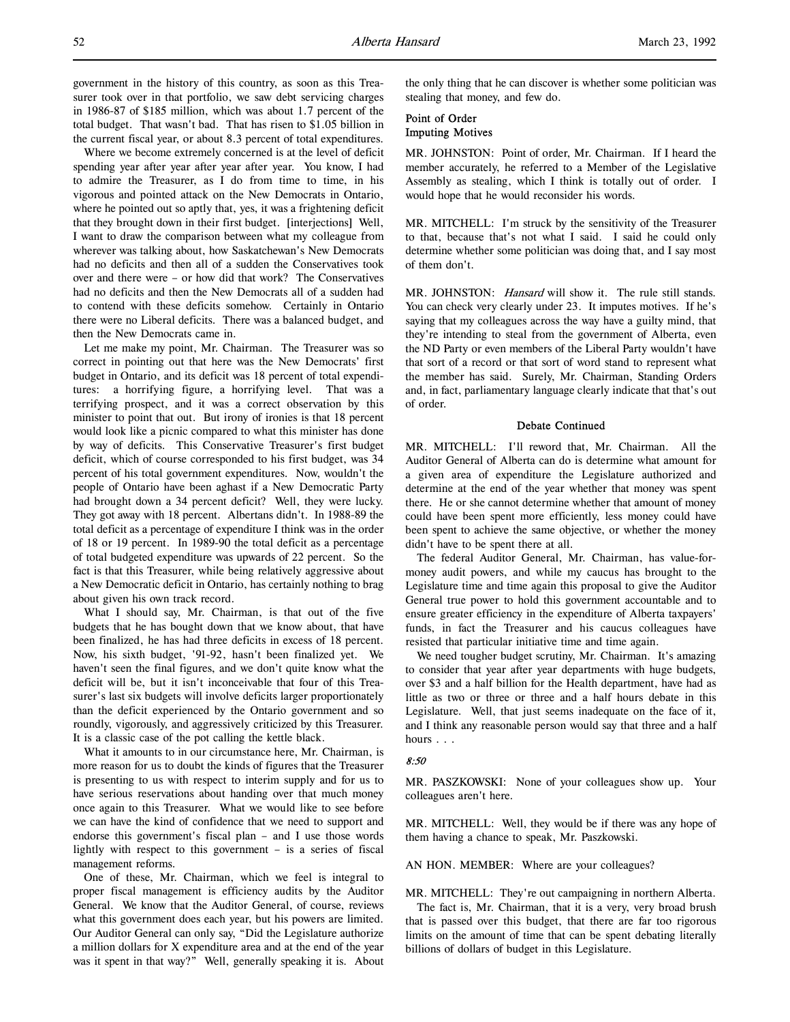government in the history of this country, as soon as this Treasurer took over in that portfolio, we saw debt servicing charges in 1986-87 of \$185 million, which was about 1.7 percent of the total budget. That wasn't bad. That has risen to \$1.05 billion in the current fiscal year, or about 8.3 percent of total expenditures.

Where we become extremely concerned is at the level of deficit spending year after year after year after year. You know, I had to admire the Treasurer, as I do from time to time, in his vigorous and pointed attack on the New Democrats in Ontario, where he pointed out so aptly that, yes, it was a frightening deficit that they brought down in their first budget. [interjections] Well, I want to draw the comparison between what my colleague from wherever was talking about, how Saskatchewan's New Democrats had no deficits and then all of a sudden the Conservatives took over and there were – or how did that work? The Conservatives had no deficits and then the New Democrats all of a sudden had to contend with these deficits somehow. Certainly in Ontario there were no Liberal deficits. There was a balanced budget, and then the New Democrats came in.

Let me make my point, Mr. Chairman. The Treasurer was so correct in pointing out that here was the New Democrats' first budget in Ontario, and its deficit was 18 percent of total expenditures: a horrifying figure, a horrifying level. That was a terrifying prospect, and it was a correct observation by this minister to point that out. But irony of ironies is that 18 percent would look like a picnic compared to what this minister has done by way of deficits. This Conservative Treasurer's first budget deficit, which of course corresponded to his first budget, was 34 percent of his total government expenditures. Now, wouldn't the people of Ontario have been aghast if a New Democratic Party had brought down a 34 percent deficit? Well, they were lucky. They got away with 18 percent. Albertans didn't. In 1988-89 the total deficit as a percentage of expenditure I think was in the order of 18 or 19 percent. In 1989-90 the total deficit as a percentage of total budgeted expenditure was upwards of 22 percent. So the fact is that this Treasurer, while being relatively aggressive about a New Democratic deficit in Ontario, has certainly nothing to brag about given his own track record.

What I should say, Mr. Chairman, is that out of the five budgets that he has bought down that we know about, that have been finalized, he has had three deficits in excess of 18 percent. Now, his sixth budget, '91-92, hasn't been finalized yet. We haven't seen the final figures, and we don't quite know what the deficit will be, but it isn't inconceivable that four of this Treasurer's last six budgets will involve deficits larger proportionately than the deficit experienced by the Ontario government and so roundly, vigorously, and aggressively criticized by this Treasurer. It is a classic case of the pot calling the kettle black.

What it amounts to in our circumstance here, Mr. Chairman, is more reason for us to doubt the kinds of figures that the Treasurer is presenting to us with respect to interim supply and for us to have serious reservations about handing over that much money once again to this Treasurer. What we would like to see before we can have the kind of confidence that we need to support and endorse this government's fiscal plan – and I use those words lightly with respect to this government – is a series of fiscal management reforms.

One of these, Mr. Chairman, which we feel is integral to proper fiscal management is efficiency audits by the Auditor General. We know that the Auditor General, of course, reviews what this government does each year, but his powers are limited. Our Auditor General can only say, "Did the Legislature authorize a million dollars for X expenditure area and at the end of the year was it spent in that way?" Well, generally speaking it is. About

the only thing that he can discover is whether some politician was stealing that money, and few do.

# Point of Order Imputing Motives

MR. JOHNSTON: Point of order, Mr. Chairman. If I heard the member accurately, he referred to a Member of the Legislative Assembly as stealing, which I think is totally out of order. I would hope that he would reconsider his words.

MR. MITCHELL: I'm struck by the sensitivity of the Treasurer to that, because that's not what I said. I said he could only determine whether some politician was doing that, and I say most of them don't.

MR. JOHNSTON: Hansard will show it. The rule still stands. You can check very clearly under 23. It imputes motives. If he's saying that my colleagues across the way have a guilty mind, that they're intending to steal from the government of Alberta, even the ND Party or even members of the Liberal Party wouldn't have that sort of a record or that sort of word stand to represent what the member has said. Surely, Mr. Chairman, Standing Orders and, in fact, parliamentary language clearly indicate that that's out of order.

# Debate Continued

MR. MITCHELL: I'll reword that, Mr. Chairman. All the Auditor General of Alberta can do is determine what amount for a given area of expenditure the Legislature authorized and determine at the end of the year whether that money was spent there. He or she cannot determine whether that amount of money could have been spent more efficiently, less money could have been spent to achieve the same objective, or whether the money didn't have to be spent there at all.

The federal Auditor General, Mr. Chairman, has value-formoney audit powers, and while my caucus has brought to the Legislature time and time again this proposal to give the Auditor General true power to hold this government accountable and to ensure greater efficiency in the expenditure of Alberta taxpayers' funds, in fact the Treasurer and his caucus colleagues have resisted that particular initiative time and time again.

We need tougher budget scrutiny, Mr. Chairman. It's amazing to consider that year after year departments with huge budgets, over \$3 and a half billion for the Health department, have had as little as two or three or three and a half hours debate in this Legislature. Well, that just seems inadequate on the face of it, and I think any reasonable person would say that three and a half hours . . .

#### 8:50

MR. PASZKOWSKI: None of your colleagues show up. Your colleagues aren't here.

MR. MITCHELL: Well, they would be if there was any hope of them having a chance to speak, Mr. Paszkowski.

AN HON. MEMBER: Where are your colleagues?

MR. MITCHELL: They're out campaigning in northern Alberta. The fact is, Mr. Chairman, that it is a very, very broad brush

that is passed over this budget, that there are far too rigorous limits on the amount of time that can be spent debating literally billions of dollars of budget in this Legislature.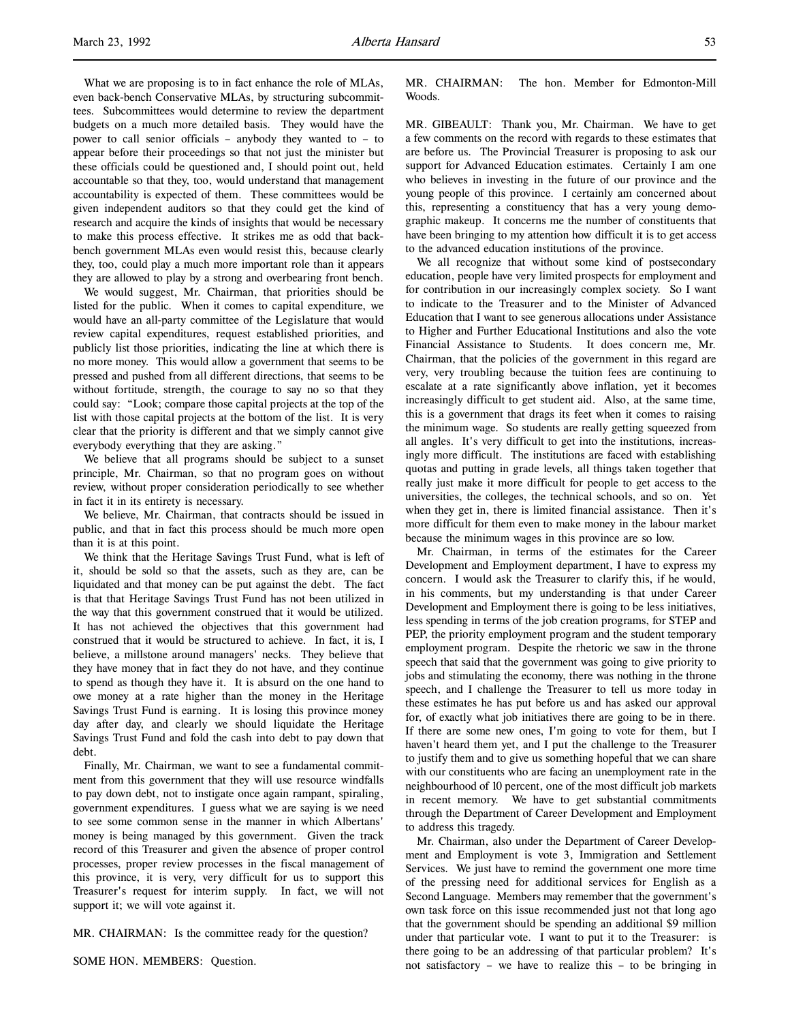What we are proposing is to in fact enhance the role of MLAs, even back-bench Conservative MLAs, by structuring subcommittees. Subcommittees would determine to review the department budgets on a much more detailed basis. They would have the power to call senior officials – anybody they wanted to – to appear before their proceedings so that not just the minister but these officials could be questioned and, I should point out, held accountable so that they, too, would understand that management accountability is expected of them. These committees would be given independent auditors so that they could get the kind of research and acquire the kinds of insights that would be necessary to make this process effective. It strikes me as odd that backbench government MLAs even would resist this, because clearly they, too, could play a much more important role than it appears they are allowed to play by a strong and overbearing front bench.

We would suggest, Mr. Chairman, that priorities should be listed for the public. When it comes to capital expenditure, we would have an all-party committee of the Legislature that would review capital expenditures, request established priorities, and publicly list those priorities, indicating the line at which there is no more money. This would allow a government that seems to be pressed and pushed from all different directions, that seems to be without fortitude, strength, the courage to say no so that they could say: "Look; compare those capital projects at the top of the list with those capital projects at the bottom of the list. It is very clear that the priority is different and that we simply cannot give everybody everything that they are asking."

We believe that all programs should be subject to a sunset principle, Mr. Chairman, so that no program goes on without review, without proper consideration periodically to see whether in fact it in its entirety is necessary.

We believe, Mr. Chairman, that contracts should be issued in public, and that in fact this process should be much more open than it is at this point.

We think that the Heritage Savings Trust Fund, what is left of it, should be sold so that the assets, such as they are, can be liquidated and that money can be put against the debt. The fact is that that Heritage Savings Trust Fund has not been utilized in the way that this government construed that it would be utilized. It has not achieved the objectives that this government had construed that it would be structured to achieve. In fact, it is, I believe, a millstone around managers' necks. They believe that they have money that in fact they do not have, and they continue to spend as though they have it. It is absurd on the one hand to owe money at a rate higher than the money in the Heritage Savings Trust Fund is earning. It is losing this province money day after day, and clearly we should liquidate the Heritage Savings Trust Fund and fold the cash into debt to pay down that debt.

Finally, Mr. Chairman, we want to see a fundamental commitment from this government that they will use resource windfalls to pay down debt, not to instigate once again rampant, spiraling, government expenditures. I guess what we are saying is we need to see some common sense in the manner in which Albertans' money is being managed by this government. Given the track record of this Treasurer and given the absence of proper control processes, proper review processes in the fiscal management of this province, it is very, very difficult for us to support this Treasurer's request for interim supply. In fact, we will not support it; we will vote against it.

MR. CHAIRMAN: Is the committee ready for the question?

SOME HON. MEMBERS: Question.

MR. CHAIRMAN: The hon. Member for Edmonton-Mill Woods.

MR. GIBEAULT: Thank you, Mr. Chairman. We have to get a few comments on the record with regards to these estimates that are before us. The Provincial Treasurer is proposing to ask our support for Advanced Education estimates. Certainly I am one who believes in investing in the future of our province and the young people of this province. I certainly am concerned about this, representing a constituency that has a very young demographic makeup. It concerns me the number of constituents that have been bringing to my attention how difficult it is to get access to the advanced education institutions of the province.

We all recognize that without some kind of postsecondary education, people have very limited prospects for employment and for contribution in our increasingly complex society. So I want to indicate to the Treasurer and to the Minister of Advanced Education that I want to see generous allocations under Assistance to Higher and Further Educational Institutions and also the vote Financial Assistance to Students. It does concern me, Mr. Chairman, that the policies of the government in this regard are very, very troubling because the tuition fees are continuing to escalate at a rate significantly above inflation, yet it becomes increasingly difficult to get student aid. Also, at the same time, this is a government that drags its feet when it comes to raising the minimum wage. So students are really getting squeezed from all angles. It's very difficult to get into the institutions, increasingly more difficult. The institutions are faced with establishing quotas and putting in grade levels, all things taken together that really just make it more difficult for people to get access to the universities, the colleges, the technical schools, and so on. Yet when they get in, there is limited financial assistance. Then it's more difficult for them even to make money in the labour market because the minimum wages in this province are so low.

Mr. Chairman, in terms of the estimates for the Career Development and Employment department, I have to express my concern. I would ask the Treasurer to clarify this, if he would, in his comments, but my understanding is that under Career Development and Employment there is going to be less initiatives, less spending in terms of the job creation programs, for STEP and PEP, the priority employment program and the student temporary employment program. Despite the rhetoric we saw in the throne speech that said that the government was going to give priority to jobs and stimulating the economy, there was nothing in the throne speech, and I challenge the Treasurer to tell us more today in these estimates he has put before us and has asked our approval for, of exactly what job initiatives there are going to be in there. If there are some new ones, I'm going to vote for them, but I haven't heard them yet, and I put the challenge to the Treasurer to justify them and to give us something hopeful that we can share with our constituents who are facing an unemployment rate in the neighbourhood of 10 percent, one of the most difficult job markets in recent memory. We have to get substantial commitments through the Department of Career Development and Employment to address this tragedy.

Mr. Chairman, also under the Department of Career Development and Employment is vote 3, Immigration and Settlement Services. We just have to remind the government one more time of the pressing need for additional services for English as a Second Language. Members may remember that the government's own task force on this issue recommended just not that long ago that the government should be spending an additional \$9 million under that particular vote. I want to put it to the Treasurer: is there going to be an addressing of that particular problem? It's not satisfactory – we have to realize this – to be bringing in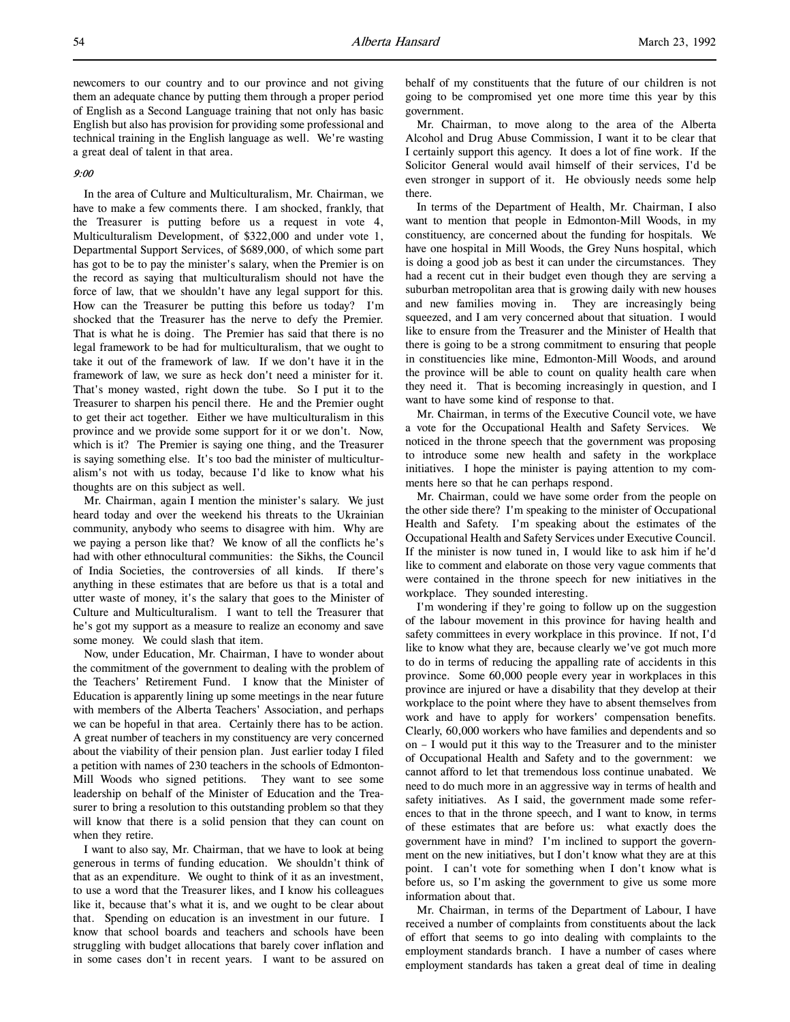newcomers to our country and to our province and not giving them an adequate chance by putting them through a proper period of English as a Second Language training that not only has basic English but also has provision for providing some professional and technical training in the English language as well. We're wasting a great deal of talent in that area.

# 9:00

In the area of Culture and Multiculturalism, Mr. Chairman, we have to make a few comments there. I am shocked, frankly, that the Treasurer is putting before us a request in vote 4, Multiculturalism Development, of \$322,000 and under vote 1, Departmental Support Services, of \$689,000, of which some part has got to be to pay the minister's salary, when the Premier is on the record as saying that multiculturalism should not have the force of law, that we shouldn't have any legal support for this. How can the Treasurer be putting this before us today? I'm shocked that the Treasurer has the nerve to defy the Premier. That is what he is doing. The Premier has said that there is no legal framework to be had for multiculturalism, that we ought to take it out of the framework of law. If we don't have it in the framework of law, we sure as heck don't need a minister for it. That's money wasted, right down the tube. So I put it to the Treasurer to sharpen his pencil there. He and the Premier ought to get their act together. Either we have multiculturalism in this province and we provide some support for it or we don't. Now, which is it? The Premier is saying one thing, and the Treasurer is saying something else. It's too bad the minister of multiculturalism's not with us today, because I'd like to know what his thoughts are on this subject as well.

Mr. Chairman, again I mention the minister's salary. We just heard today and over the weekend his threats to the Ukrainian community, anybody who seems to disagree with him. Why are we paying a person like that? We know of all the conflicts he's had with other ethnocultural communities: the Sikhs, the Council of India Societies, the controversies of all kinds. If there's anything in these estimates that are before us that is a total and utter waste of money, it's the salary that goes to the Minister of Culture and Multiculturalism. I want to tell the Treasurer that he's got my support as a measure to realize an economy and save some money. We could slash that item.

Now, under Education, Mr. Chairman, I have to wonder about the commitment of the government to dealing with the problem of the Teachers' Retirement Fund. I know that the Minister of Education is apparently lining up some meetings in the near future with members of the Alberta Teachers' Association, and perhaps we can be hopeful in that area. Certainly there has to be action. A great number of teachers in my constituency are very concerned about the viability of their pension plan. Just earlier today I filed a petition with names of 230 teachers in the schools of Edmonton-Mill Woods who signed petitions. They want to see some leadership on behalf of the Minister of Education and the Treasurer to bring a resolution to this outstanding problem so that they will know that there is a solid pension that they can count on when they retire.

I want to also say, Mr. Chairman, that we have to look at being generous in terms of funding education. We shouldn't think of that as an expenditure. We ought to think of it as an investment, to use a word that the Treasurer likes, and I know his colleagues like it, because that's what it is, and we ought to be clear about that. Spending on education is an investment in our future. I know that school boards and teachers and schools have been struggling with budget allocations that barely cover inflation and in some cases don't in recent years. I want to be assured on

behalf of my constituents that the future of our children is not going to be compromised yet one more time this year by this government.

Mr. Chairman, to move along to the area of the Alberta Alcohol and Drug Abuse Commission, I want it to be clear that I certainly support this agency. It does a lot of fine work. If the Solicitor General would avail himself of their services, I'd be even stronger in support of it. He obviously needs some help there.

In terms of the Department of Health, Mr. Chairman, I also want to mention that people in Edmonton-Mill Woods, in my constituency, are concerned about the funding for hospitals. We have one hospital in Mill Woods, the Grey Nuns hospital, which is doing a good job as best it can under the circumstances. They had a recent cut in their budget even though they are serving a suburban metropolitan area that is growing daily with new houses and new families moving in. They are increasingly being squeezed, and I am very concerned about that situation. I would like to ensure from the Treasurer and the Minister of Health that there is going to be a strong commitment to ensuring that people in constituencies like mine, Edmonton-Mill Woods, and around the province will be able to count on quality health care when they need it. That is becoming increasingly in question, and I want to have some kind of response to that.

Mr. Chairman, in terms of the Executive Council vote, we have a vote for the Occupational Health and Safety Services. We noticed in the throne speech that the government was proposing to introduce some new health and safety in the workplace initiatives. I hope the minister is paying attention to my comments here so that he can perhaps respond.

Mr. Chairman, could we have some order from the people on the other side there? I'm speaking to the minister of Occupational Health and Safety. I'm speaking about the estimates of the Occupational Health and Safety Services under Executive Council. If the minister is now tuned in, I would like to ask him if he'd like to comment and elaborate on those very vague comments that were contained in the throne speech for new initiatives in the workplace. They sounded interesting.

I'm wondering if they're going to follow up on the suggestion of the labour movement in this province for having health and safety committees in every workplace in this province. If not, I'd like to know what they are, because clearly we've got much more to do in terms of reducing the appalling rate of accidents in this province. Some 60,000 people every year in workplaces in this province are injured or have a disability that they develop at their workplace to the point where they have to absent themselves from work and have to apply for workers' compensation benefits. Clearly, 60,000 workers who have families and dependents and so on – I would put it this way to the Treasurer and to the minister of Occupational Health and Safety and to the government: we cannot afford to let that tremendous loss continue unabated. We need to do much more in an aggressive way in terms of health and safety initiatives. As I said, the government made some references to that in the throne speech, and I want to know, in terms of these estimates that are before us: what exactly does the government have in mind? I'm inclined to support the government on the new initiatives, but I don't know what they are at this point. I can't vote for something when I don't know what is before us, so I'm asking the government to give us some more information about that.

Mr. Chairman, in terms of the Department of Labour, I have received a number of complaints from constituents about the lack of effort that seems to go into dealing with complaints to the employment standards branch. I have a number of cases where employment standards has taken a great deal of time in dealing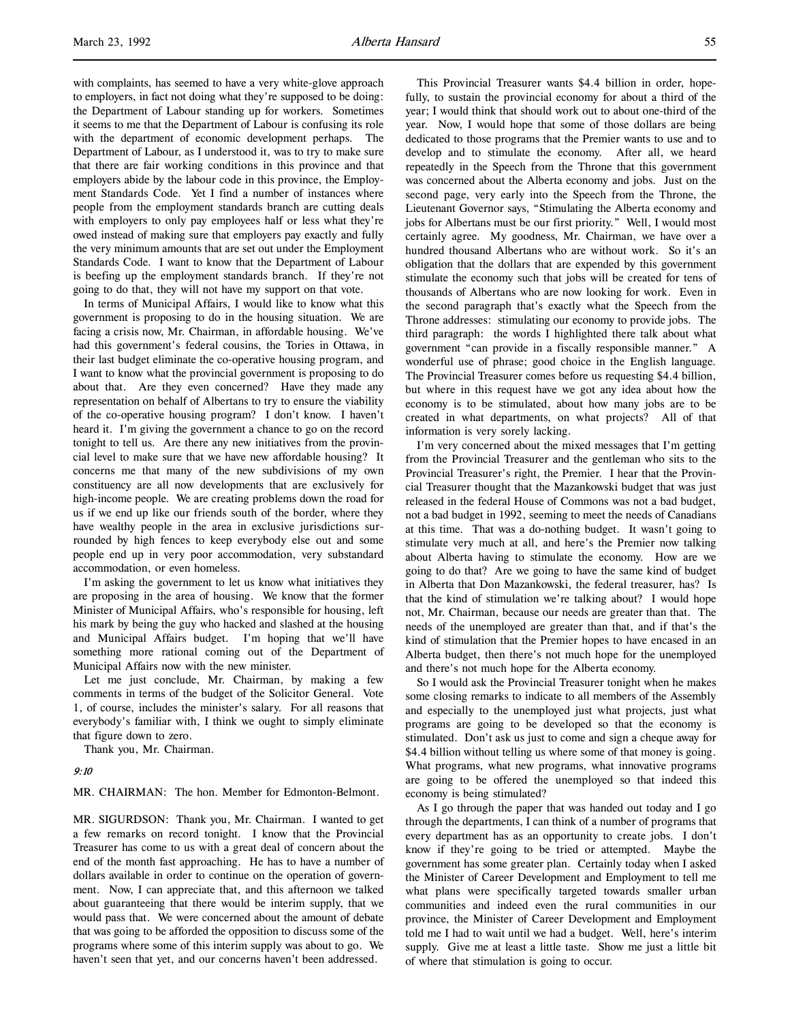with complaints, has seemed to have a very white-glove approach to employers, in fact not doing what they're supposed to be doing: the Department of Labour standing up for workers. Sometimes it seems to me that the Department of Labour is confusing its role with the department of economic development perhaps. The Department of Labour, as I understood it, was to try to make sure that there are fair working conditions in this province and that employers abide by the labour code in this province, the Employment Standards Code. Yet I find a number of instances where people from the employment standards branch are cutting deals with employers to only pay employees half or less what they're owed instead of making sure that employers pay exactly and fully the very minimum amounts that are set out under the Employment Standards Code. I want to know that the Department of Labour is beefing up the employment standards branch. If they're not going to do that, they will not have my support on that vote.

In terms of Municipal Affairs, I would like to know what this government is proposing to do in the housing situation. We are facing a crisis now, Mr. Chairman, in affordable housing. We've had this government's federal cousins, the Tories in Ottawa, in their last budget eliminate the co-operative housing program, and I want to know what the provincial government is proposing to do about that. Are they even concerned? Have they made any representation on behalf of Albertans to try to ensure the viability of the co-operative housing program? I don't know. I haven't heard it. I'm giving the government a chance to go on the record tonight to tell us. Are there any new initiatives from the provincial level to make sure that we have new affordable housing? It concerns me that many of the new subdivisions of my own constituency are all now developments that are exclusively for high-income people. We are creating problems down the road for us if we end up like our friends south of the border, where they have wealthy people in the area in exclusive jurisdictions surrounded by high fences to keep everybody else out and some people end up in very poor accommodation, very substandard accommodation, or even homeless.

I'm asking the government to let us know what initiatives they are proposing in the area of housing. We know that the former Minister of Municipal Affairs, who's responsible for housing, left his mark by being the guy who hacked and slashed at the housing and Municipal Affairs budget. I'm hoping that we'll have something more rational coming out of the Department of Municipal Affairs now with the new minister.

Let me just conclude, Mr. Chairman, by making a few comments in terms of the budget of the Solicitor General. Vote 1, of course, includes the minister's salary. For all reasons that everybody's familiar with, I think we ought to simply eliminate that figure down to zero.

Thank you, Mr. Chairman.

### 9:10

MR. CHAIRMAN: The hon. Member for Edmonton-Belmont.

MR. SIGURDSON: Thank you, Mr. Chairman. I wanted to get a few remarks on record tonight. I know that the Provincial Treasurer has come to us with a great deal of concern about the end of the month fast approaching. He has to have a number of dollars available in order to continue on the operation of government. Now, I can appreciate that, and this afternoon we talked about guaranteeing that there would be interim supply, that we would pass that. We were concerned about the amount of debate that was going to be afforded the opposition to discuss some of the programs where some of this interim supply was about to go. We haven't seen that yet, and our concerns haven't been addressed.

This Provincial Treasurer wants \$4.4 billion in order, hopefully, to sustain the provincial economy for about a third of the year; I would think that should work out to about one-third of the year. Now, I would hope that some of those dollars are being dedicated to those programs that the Premier wants to use and to develop and to stimulate the economy. After all, we heard repeatedly in the Speech from the Throne that this government was concerned about the Alberta economy and jobs. Just on the second page, very early into the Speech from the Throne, the Lieutenant Governor says, "Stimulating the Alberta economy and jobs for Albertans must be our first priority." Well, I would most certainly agree. My goodness, Mr. Chairman, we have over a hundred thousand Albertans who are without work. So it's an obligation that the dollars that are expended by this government stimulate the economy such that jobs will be created for tens of thousands of Albertans who are now looking for work. Even in the second paragraph that's exactly what the Speech from the Throne addresses: stimulating our economy to provide jobs. The third paragraph: the words I highlighted there talk about what government "can provide in a fiscally responsible manner." A wonderful use of phrase; good choice in the English language. The Provincial Treasurer comes before us requesting \$4.4 billion, but where in this request have we got any idea about how the economy is to be stimulated, about how many jobs are to be created in what departments, on what projects? All of that information is very sorely lacking.

I'm very concerned about the mixed messages that I'm getting from the Provincial Treasurer and the gentleman who sits to the Provincial Treasurer's right, the Premier. I hear that the Provincial Treasurer thought that the Mazankowski budget that was just released in the federal House of Commons was not a bad budget, not a bad budget in 1992, seeming to meet the needs of Canadians at this time. That was a do-nothing budget. It wasn't going to stimulate very much at all, and here's the Premier now talking about Alberta having to stimulate the economy. How are we going to do that? Are we going to have the same kind of budget in Alberta that Don Mazankowski, the federal treasurer, has? Is that the kind of stimulation we're talking about? I would hope not, Mr. Chairman, because our needs are greater than that. The needs of the unemployed are greater than that, and if that's the kind of stimulation that the Premier hopes to have encased in an Alberta budget, then there's not much hope for the unemployed and there's not much hope for the Alberta economy.

So I would ask the Provincial Treasurer tonight when he makes some closing remarks to indicate to all members of the Assembly and especially to the unemployed just what projects, just what programs are going to be developed so that the economy is stimulated. Don't ask us just to come and sign a cheque away for \$4.4 billion without telling us where some of that money is going. What programs, what new programs, what innovative programs are going to be offered the unemployed so that indeed this economy is being stimulated?

As I go through the paper that was handed out today and I go through the departments, I can think of a number of programs that every department has as an opportunity to create jobs. I don't know if they're going to be tried or attempted. Maybe the government has some greater plan. Certainly today when I asked the Minister of Career Development and Employment to tell me what plans were specifically targeted towards smaller urban communities and indeed even the rural communities in our province, the Minister of Career Development and Employment told me I had to wait until we had a budget. Well, here's interim supply. Give me at least a little taste. Show me just a little bit of where that stimulation is going to occur.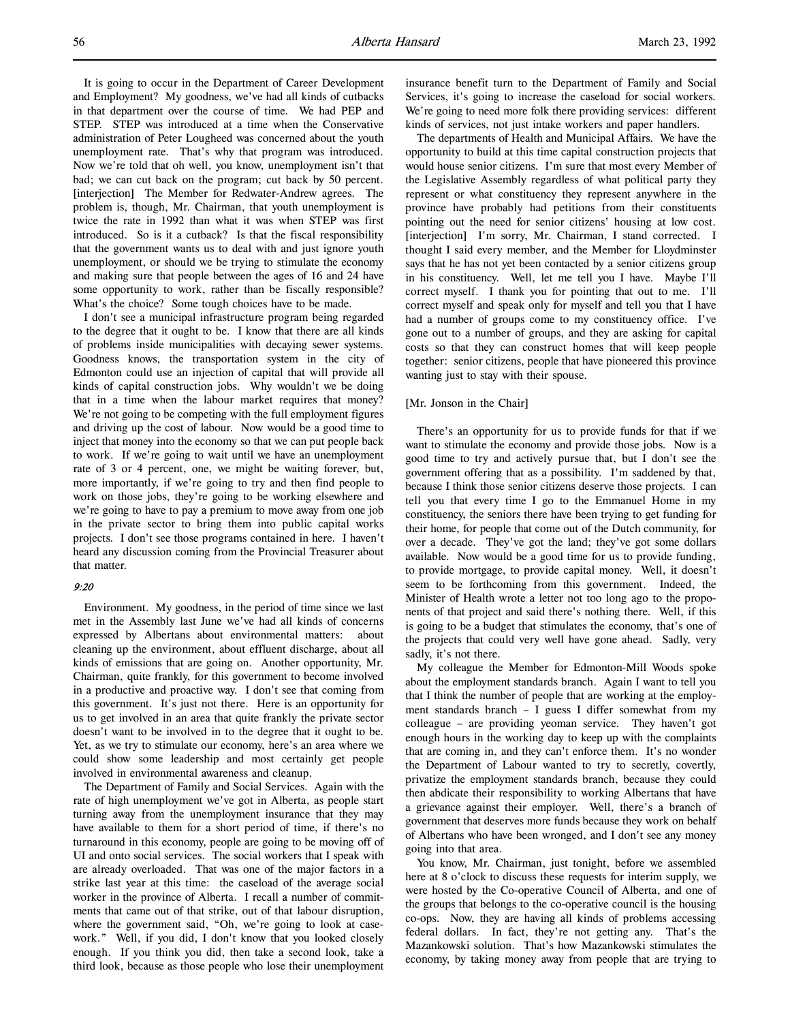It is going to occur in the Department of Career Development and Employment? My goodness, we've had all kinds of cutbacks in that department over the course of time. We had PEP and STEP. STEP was introduced at a time when the Conservative administration of Peter Lougheed was concerned about the youth unemployment rate. That's why that program was introduced. Now we're told that oh well, you know, unemployment isn't that bad; we can cut back on the program; cut back by 50 percent. [interjection] The Member for Redwater-Andrew agrees. The problem is, though, Mr. Chairman, that youth unemployment is twice the rate in 1992 than what it was when STEP was first introduced. So is it a cutback? Is that the fiscal responsibility that the government wants us to deal with and just ignore youth unemployment, or should we be trying to stimulate the economy and making sure that people between the ages of 16 and 24 have some opportunity to work, rather than be fiscally responsible? What's the choice? Some tough choices have to be made.

I don't see a municipal infrastructure program being regarded to the degree that it ought to be. I know that there are all kinds of problems inside municipalities with decaying sewer systems. Goodness knows, the transportation system in the city of Edmonton could use an injection of capital that will provide all kinds of capital construction jobs. Why wouldn't we be doing that in a time when the labour market requires that money? We're not going to be competing with the full employment figures and driving up the cost of labour. Now would be a good time to inject that money into the economy so that we can put people back to work. If we're going to wait until we have an unemployment rate of 3 or 4 percent, one, we might be waiting forever, but, more importantly, if we're going to try and then find people to work on those jobs, they're going to be working elsewhere and we're going to have to pay a premium to move away from one job in the private sector to bring them into public capital works projects. I don't see those programs contained in here. I haven't heard any discussion coming from the Provincial Treasurer about that matter.

# 9:20

Environment. My goodness, in the period of time since we last met in the Assembly last June we've had all kinds of concerns expressed by Albertans about environmental matters: about cleaning up the environment, about effluent discharge, about all kinds of emissions that are going on. Another opportunity, Mr. Chairman, quite frankly, for this government to become involved in a productive and proactive way. I don't see that coming from this government. It's just not there. Here is an opportunity for us to get involved in an area that quite frankly the private sector doesn't want to be involved in to the degree that it ought to be. Yet, as we try to stimulate our economy, here's an area where we could show some leadership and most certainly get people involved in environmental awareness and cleanup.

The Department of Family and Social Services. Again with the rate of high unemployment we've got in Alberta, as people start turning away from the unemployment insurance that they may have available to them for a short period of time, if there's no turnaround in this economy, people are going to be moving off of UI and onto social services. The social workers that I speak with are already overloaded. That was one of the major factors in a strike last year at this time: the caseload of the average social worker in the province of Alberta. I recall a number of commitments that came out of that strike, out of that labour disruption, where the government said, "Oh, we're going to look at casework." Well, if you did, I don't know that you looked closely enough. If you think you did, then take a second look, take a third look, because as those people who lose their unemployment

insurance benefit turn to the Department of Family and Social Services, it's going to increase the caseload for social workers. We're going to need more folk there providing services: different kinds of services, not just intake workers and paper handlers.

The departments of Health and Municipal Affairs. We have the opportunity to build at this time capital construction projects that would house senior citizens. I'm sure that most every Member of the Legislative Assembly regardless of what political party they represent or what constituency they represent anywhere in the province have probably had petitions from their constituents pointing out the need for senior citizens' housing at low cost. [interjection] I'm sorry, Mr. Chairman, I stand corrected. I thought I said every member, and the Member for Lloydminster says that he has not yet been contacted by a senior citizens group in his constituency. Well, let me tell you I have. Maybe I'll correct myself. I thank you for pointing that out to me. I'll correct myself and speak only for myself and tell you that I have had a number of groups come to my constituency office. I've gone out to a number of groups, and they are asking for capital costs so that they can construct homes that will keep people together: senior citizens, people that have pioneered this province wanting just to stay with their spouse.

# [Mr. Jonson in the Chair]

There's an opportunity for us to provide funds for that if we want to stimulate the economy and provide those jobs. Now is a good time to try and actively pursue that, but I don't see the government offering that as a possibility. I'm saddened by that, because I think those senior citizens deserve those projects. I can tell you that every time I go to the Emmanuel Home in my constituency, the seniors there have been trying to get funding for their home, for people that come out of the Dutch community, for over a decade. They've got the land; they've got some dollars available. Now would be a good time for us to provide funding, to provide mortgage, to provide capital money. Well, it doesn't seem to be forthcoming from this government. Indeed, the Minister of Health wrote a letter not too long ago to the proponents of that project and said there's nothing there. Well, if this is going to be a budget that stimulates the economy, that's one of the projects that could very well have gone ahead. Sadly, very sadly, it's not there.

My colleague the Member for Edmonton-Mill Woods spoke about the employment standards branch. Again I want to tell you that I think the number of people that are working at the employment standards branch – I guess I differ somewhat from my colleague – are providing yeoman service. They haven't got enough hours in the working day to keep up with the complaints that are coming in, and they can't enforce them. It's no wonder the Department of Labour wanted to try to secretly, covertly, privatize the employment standards branch, because they could then abdicate their responsibility to working Albertans that have a grievance against their employer. Well, there's a branch of government that deserves more funds because they work on behalf of Albertans who have been wronged, and I don't see any money going into that area.

You know, Mr. Chairman, just tonight, before we assembled here at 8 o'clock to discuss these requests for interim supply, we were hosted by the Co-operative Council of Alberta, and one of the groups that belongs to the co-operative council is the housing co-ops. Now, they are having all kinds of problems accessing federal dollars. In fact, they're not getting any. That's the Mazankowski solution. That's how Mazankowski stimulates the economy, by taking money away from people that are trying to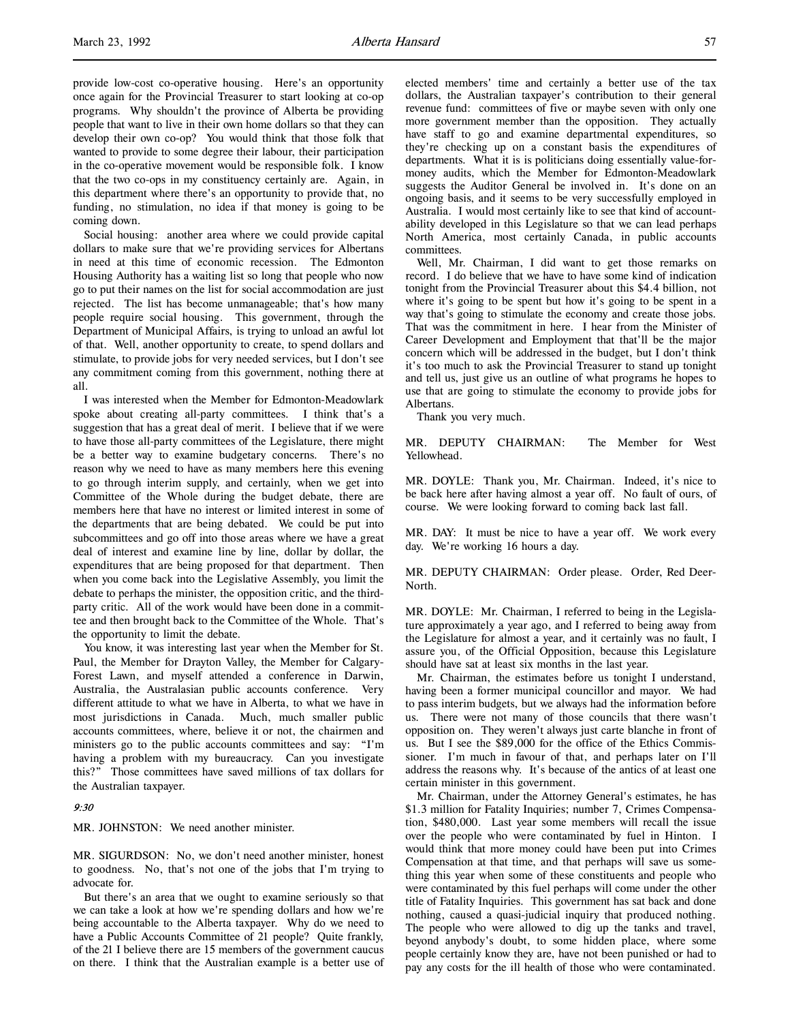provide low-cost co-operative housing. Here's an opportunity once again for the Provincial Treasurer to start looking at co-op programs. Why shouldn't the province of Alberta be providing people that want to live in their own home dollars so that they can develop their own co-op? You would think that those folk that wanted to provide to some degree their labour, their participation in the co-operative movement would be responsible folk. I know that the two co-ops in my constituency certainly are. Again, in this department where there's an opportunity to provide that, no funding, no stimulation, no idea if that money is going to be coming down.

Social housing: another area where we could provide capital dollars to make sure that we're providing services for Albertans in need at this time of economic recession. The Edmonton Housing Authority has a waiting list so long that people who now go to put their names on the list for social accommodation are just rejected. The list has become unmanageable; that's how many people require social housing. This government, through the Department of Municipal Affairs, is trying to unload an awful lot of that. Well, another opportunity to create, to spend dollars and stimulate, to provide jobs for very needed services, but I don't see any commitment coming from this government, nothing there at all.

I was interested when the Member for Edmonton-Meadowlark spoke about creating all-party committees. I think that's a suggestion that has a great deal of merit. I believe that if we were to have those all-party committees of the Legislature, there might be a better way to examine budgetary concerns. There's no reason why we need to have as many members here this evening to go through interim supply, and certainly, when we get into Committee of the Whole during the budget debate, there are members here that have no interest or limited interest in some of the departments that are being debated. We could be put into subcommittees and go off into those areas where we have a great deal of interest and examine line by line, dollar by dollar, the expenditures that are being proposed for that department. Then when you come back into the Legislative Assembly, you limit the debate to perhaps the minister, the opposition critic, and the thirdparty critic. All of the work would have been done in a committee and then brought back to the Committee of the Whole. That's the opportunity to limit the debate.

You know, it was interesting last year when the Member for St. Paul, the Member for Drayton Valley, the Member for Calgary-Forest Lawn, and myself attended a conference in Darwin, Australia, the Australasian public accounts conference. Very different attitude to what we have in Alberta, to what we have in most jurisdictions in Canada. Much, much smaller public accounts committees, where, believe it or not, the chairmen and ministers go to the public accounts committees and say: "I'm having a problem with my bureaucracy. Can you investigate this?" Those committees have saved millions of tax dollars for the Australian taxpayer.

# 9:30

MR. JOHNSTON: We need another minister.

MR. SIGURDSON: No, we don't need another minister, honest to goodness. No, that's not one of the jobs that I'm trying to advocate for.

But there's an area that we ought to examine seriously so that we can take a look at how we're spending dollars and how we're being accountable to the Alberta taxpayer. Why do we need to have a Public Accounts Committee of 21 people? Quite frankly, of the 21 I believe there are 15 members of the government caucus on there. I think that the Australian example is a better use of elected members' time and certainly a better use of the tax dollars, the Australian taxpayer's contribution to their general revenue fund: committees of five or maybe seven with only one more government member than the opposition. They actually have staff to go and examine departmental expenditures, so they're checking up on a constant basis the expenditures of departments. What it is is politicians doing essentially value-formoney audits, which the Member for Edmonton-Meadowlark suggests the Auditor General be involved in. It's done on an ongoing basis, and it seems to be very successfully employed in Australia. I would most certainly like to see that kind of accountability developed in this Legislature so that we can lead perhaps North America, most certainly Canada, in public accounts committees.

Well, Mr. Chairman, I did want to get those remarks on record. I do believe that we have to have some kind of indication tonight from the Provincial Treasurer about this \$4.4 billion, not where it's going to be spent but how it's going to be spent in a way that's going to stimulate the economy and create those jobs. That was the commitment in here. I hear from the Minister of Career Development and Employment that that'll be the major concern which will be addressed in the budget, but I don't think it's too much to ask the Provincial Treasurer to stand up tonight and tell us, just give us an outline of what programs he hopes to use that are going to stimulate the economy to provide jobs for Albertans.

Thank you very much.

MR. DEPUTY CHAIRMAN: The Member for West Yellowhead.

MR. DOYLE: Thank you, Mr. Chairman. Indeed, it's nice to be back here after having almost a year off. No fault of ours, of course. We were looking forward to coming back last fall.

MR. DAY: It must be nice to have a year off. We work every day. We're working 16 hours a day.

MR. DEPUTY CHAIRMAN: Order please. Order, Red Deer-North.

MR. DOYLE: Mr. Chairman, I referred to being in the Legislature approximately a year ago, and I referred to being away from the Legislature for almost a year, and it certainly was no fault, I assure you, of the Official Opposition, because this Legislature should have sat at least six months in the last year.

Mr. Chairman, the estimates before us tonight I understand, having been a former municipal councillor and mayor. We had to pass interim budgets, but we always had the information before us. There were not many of those councils that there wasn't opposition on. They weren't always just carte blanche in front of us. But I see the \$89,000 for the office of the Ethics Commissioner. I'm much in favour of that, and perhaps later on I'll address the reasons why. It's because of the antics of at least one certain minister in this government.

Mr. Chairman, under the Attorney General's estimates, he has \$1.3 million for Fatality Inquiries; number 7, Crimes Compensation, \$480,000. Last year some members will recall the issue over the people who were contaminated by fuel in Hinton. I would think that more money could have been put into Crimes Compensation at that time, and that perhaps will save us something this year when some of these constituents and people who were contaminated by this fuel perhaps will come under the other title of Fatality Inquiries. This government has sat back and done nothing, caused a quasi-judicial inquiry that produced nothing. The people who were allowed to dig up the tanks and travel, beyond anybody's doubt, to some hidden place, where some people certainly know they are, have not been punished or had to pay any costs for the ill health of those who were contaminated.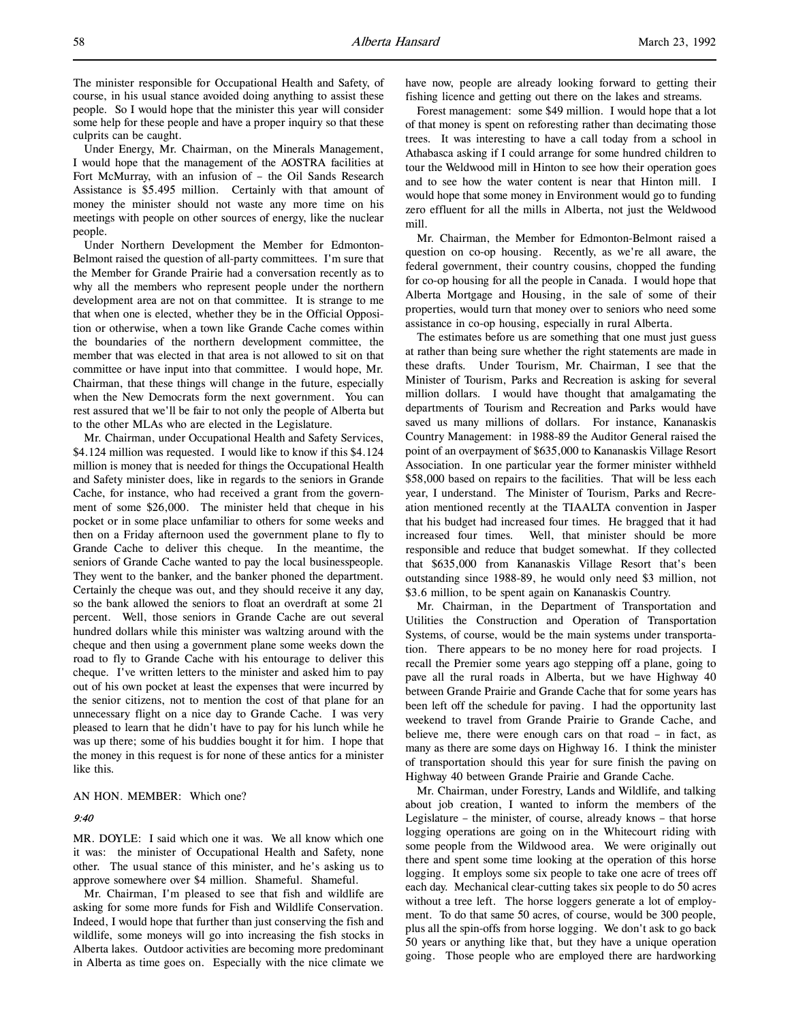The minister responsible for Occupational Health and Safety, of course, in his usual stance avoided doing anything to assist these people. So I would hope that the minister this year will consider some help for these people and have a proper inquiry so that these culprits can be caught.

Under Energy, Mr. Chairman, on the Minerals Management, I would hope that the management of the AOSTRA facilities at Fort McMurray, with an infusion of – the Oil Sands Research Assistance is \$5.495 million. Certainly with that amount of money the minister should not waste any more time on his meetings with people on other sources of energy, like the nuclear people.

Under Northern Development the Member for Edmonton-Belmont raised the question of all-party committees. I'm sure that the Member for Grande Prairie had a conversation recently as to why all the members who represent people under the northern development area are not on that committee. It is strange to me that when one is elected, whether they be in the Official Opposition or otherwise, when a town like Grande Cache comes within the boundaries of the northern development committee, the member that was elected in that area is not allowed to sit on that committee or have input into that committee. I would hope, Mr. Chairman, that these things will change in the future, especially when the New Democrats form the next government. You can rest assured that we'll be fair to not only the people of Alberta but to the other MLAs who are elected in the Legislature.

Mr. Chairman, under Occupational Health and Safety Services, \$4.124 million was requested. I would like to know if this \$4.124 million is money that is needed for things the Occupational Health and Safety minister does, like in regards to the seniors in Grande Cache, for instance, who had received a grant from the government of some \$26,000. The minister held that cheque in his pocket or in some place unfamiliar to others for some weeks and then on a Friday afternoon used the government plane to fly to Grande Cache to deliver this cheque. In the meantime, the seniors of Grande Cache wanted to pay the local businesspeople. They went to the banker, and the banker phoned the department. Certainly the cheque was out, and they should receive it any day, so the bank allowed the seniors to float an overdraft at some 21 percent. Well, those seniors in Grande Cache are out several hundred dollars while this minister was waltzing around with the cheque and then using a government plane some weeks down the road to fly to Grande Cache with his entourage to deliver this cheque. I've written letters to the minister and asked him to pay out of his own pocket at least the expenses that were incurred by the senior citizens, not to mention the cost of that plane for an unnecessary flight on a nice day to Grande Cache. I was very pleased to learn that he didn't have to pay for his lunch while he was up there; some of his buddies bought it for him. I hope that the money in this request is for none of these antics for a minister like this.

AN HON. MEMBER: Which one?

## 9:40

MR. DOYLE: I said which one it was. We all know which one it was: the minister of Occupational Health and Safety, none other. The usual stance of this minister, and he's asking us to approve somewhere over \$4 million. Shameful. Shameful.

Mr. Chairman, I'm pleased to see that fish and wildlife are asking for some more funds for Fish and Wildlife Conservation. Indeed, I would hope that further than just conserving the fish and wildlife, some moneys will go into increasing the fish stocks in Alberta lakes. Outdoor activities are becoming more predominant in Alberta as time goes on. Especially with the nice climate we

have now, people are already looking forward to getting their fishing licence and getting out there on the lakes and streams.

Forest management: some \$49 million. I would hope that a lot of that money is spent on reforesting rather than decimating those trees. It was interesting to have a call today from a school in Athabasca asking if I could arrange for some hundred children to tour the Weldwood mill in Hinton to see how their operation goes and to see how the water content is near that Hinton mill. I would hope that some money in Environment would go to funding zero effluent for all the mills in Alberta, not just the Weldwood mill.

Mr. Chairman, the Member for Edmonton-Belmont raised a question on co-op housing. Recently, as we're all aware, the federal government, their country cousins, chopped the funding for co-op housing for all the people in Canada. I would hope that Alberta Mortgage and Housing, in the sale of some of their properties, would turn that money over to seniors who need some assistance in co-op housing, especially in rural Alberta.

The estimates before us are something that one must just guess at rather than being sure whether the right statements are made in these drafts. Under Tourism, Mr. Chairman, I see that the Minister of Tourism, Parks and Recreation is asking for several million dollars. I would have thought that amalgamating the departments of Tourism and Recreation and Parks would have saved us many millions of dollars. For instance, Kananaskis Country Management: in 1988-89 the Auditor General raised the point of an overpayment of \$635,000 to Kananaskis Village Resort Association. In one particular year the former minister withheld \$58,000 based on repairs to the facilities. That will be less each year, I understand. The Minister of Tourism, Parks and Recreation mentioned recently at the TIAALTA convention in Jasper that his budget had increased four times. He bragged that it had increased four times. Well, that minister should be more responsible and reduce that budget somewhat. If they collected that \$635,000 from Kananaskis Village Resort that's been outstanding since 1988-89, he would only need \$3 million, not \$3.6 million, to be spent again on Kananaskis Country.

Mr. Chairman, in the Department of Transportation and Utilities the Construction and Operation of Transportation Systems, of course, would be the main systems under transportation. There appears to be no money here for road projects. I recall the Premier some years ago stepping off a plane, going to pave all the rural roads in Alberta, but we have Highway 40 between Grande Prairie and Grande Cache that for some years has been left off the schedule for paving. I had the opportunity last weekend to travel from Grande Prairie to Grande Cache, and believe me, there were enough cars on that road – in fact, as many as there are some days on Highway 16. I think the minister of transportation should this year for sure finish the paving on Highway 40 between Grande Prairie and Grande Cache.

Mr. Chairman, under Forestry, Lands and Wildlife, and talking about job creation, I wanted to inform the members of the Legislature – the minister, of course, already knows – that horse logging operations are going on in the Whitecourt riding with some people from the Wildwood area. We were originally out there and spent some time looking at the operation of this horse logging. It employs some six people to take one acre of trees off each day. Mechanical clear-cutting takes six people to do 50 acres without a tree left. The horse loggers generate a lot of employment. To do that same 50 acres, of course, would be 300 people, plus all the spin-offs from horse logging. We don't ask to go back 50 years or anything like that, but they have a unique operation going. Those people who are employed there are hardworking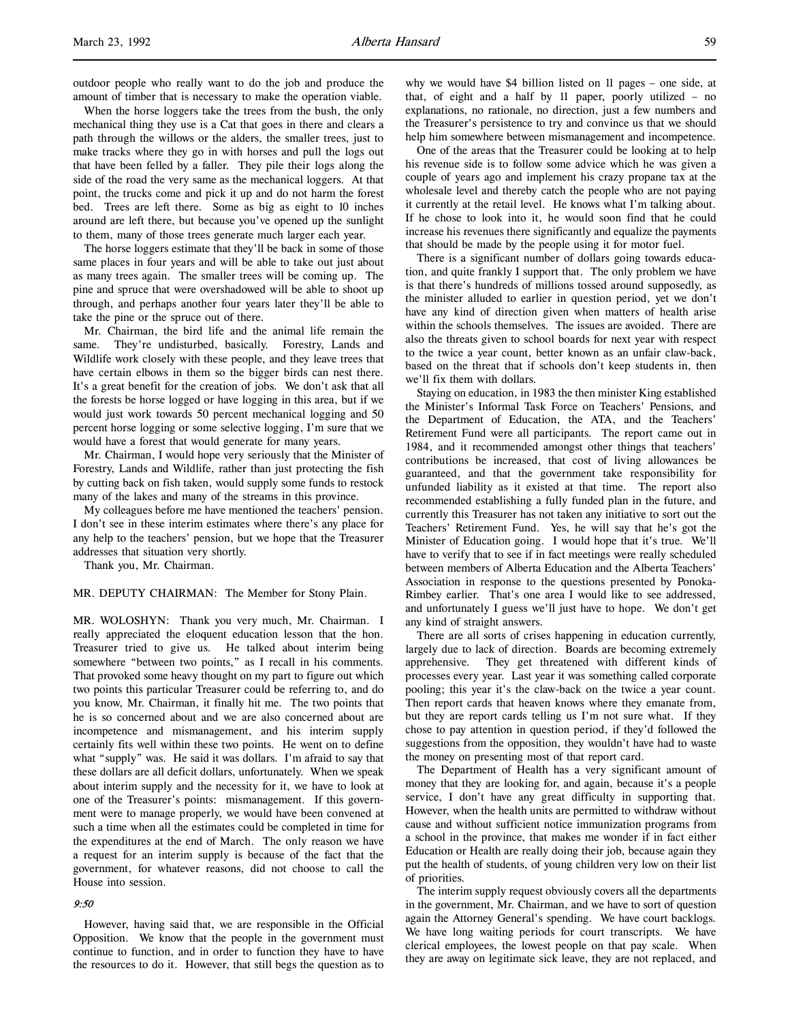outdoor people who really want to do the job and produce the amount of timber that is necessary to make the operation viable.

When the horse loggers take the trees from the bush, the only mechanical thing they use is a Cat that goes in there and clears a path through the willows or the alders, the smaller trees, just to make tracks where they go in with horses and pull the logs out that have been felled by a faller. They pile their logs along the side of the road the very same as the mechanical loggers. At that point, the trucks come and pick it up and do not harm the forest bed. Trees are left there. Some as big as eight to 10 inches around are left there, but because you've opened up the sunlight to them, many of those trees generate much larger each year.

The horse loggers estimate that they'll be back in some of those same places in four years and will be able to take out just about as many trees again. The smaller trees will be coming up. The pine and spruce that were overshadowed will be able to shoot up through, and perhaps another four years later they'll be able to take the pine or the spruce out of there.

Mr. Chairman, the bird life and the animal life remain the same. They're undisturbed, basically. Forestry, Lands and Wildlife work closely with these people, and they leave trees that have certain elbows in them so the bigger birds can nest there. It's a great benefit for the creation of jobs. We don't ask that all the forests be horse logged or have logging in this area, but if we would just work towards 50 percent mechanical logging and 50 percent horse logging or some selective logging, I'm sure that we would have a forest that would generate for many years.

Mr. Chairman, I would hope very seriously that the Minister of Forestry, Lands and Wildlife, rather than just protecting the fish by cutting back on fish taken, would supply some funds to restock many of the lakes and many of the streams in this province.

My colleagues before me have mentioned the teachers' pension. I don't see in these interim estimates where there's any place for any help to the teachers' pension, but we hope that the Treasurer addresses that situation very shortly.

Thank you, Mr. Chairman.

## MR. DEPUTY CHAIRMAN: The Member for Stony Plain.

MR. WOLOSHYN: Thank you very much, Mr. Chairman. I really appreciated the eloquent education lesson that the hon. Treasurer tried to give us. He talked about interim being somewhere "between two points," as I recall in his comments. That provoked some heavy thought on my part to figure out which two points this particular Treasurer could be referring to, and do you know, Mr. Chairman, it finally hit me. The two points that he is so concerned about and we are also concerned about are incompetence and mismanagement, and his interim supply certainly fits well within these two points. He went on to define what "supply" was. He said it was dollars. I'm afraid to say that these dollars are all deficit dollars, unfortunately. When we speak about interim supply and the necessity for it, we have to look at one of the Treasurer's points: mismanagement. If this government were to manage properly, we would have been convened at such a time when all the estimates could be completed in time for the expenditures at the end of March. The only reason we have a request for an interim supply is because of the fact that the government, for whatever reasons, did not choose to call the House into session.

# 9:50

However, having said that, we are responsible in the Official Opposition. We know that the people in the government must continue to function, and in order to function they have to have the resources to do it. However, that still begs the question as to

why we would have \$4 billion listed on 11 pages – one side, at that, of eight and a half by 11 paper, poorly utilized – no explanations, no rationale, no direction, just a few numbers and the Treasurer's persistence to try and convince us that we should help him somewhere between mismanagement and incompetence.

One of the areas that the Treasurer could be looking at to help his revenue side is to follow some advice which he was given a couple of years ago and implement his crazy propane tax at the wholesale level and thereby catch the people who are not paying it currently at the retail level. He knows what I'm talking about. If he chose to look into it, he would soon find that he could increase his revenues there significantly and equalize the payments that should be made by the people using it for motor fuel.

There is a significant number of dollars going towards education, and quite frankly I support that. The only problem we have is that there's hundreds of millions tossed around supposedly, as the minister alluded to earlier in question period, yet we don't have any kind of direction given when matters of health arise within the schools themselves. The issues are avoided. There are also the threats given to school boards for next year with respect to the twice a year count, better known as an unfair claw-back, based on the threat that if schools don't keep students in, then we'll fix them with dollars.

Staying on education, in 1983 the then minister King established the Minister's Informal Task Force on Teachers' Pensions, and the Department of Education, the ATA, and the Teachers' Retirement Fund were all participants. The report came out in 1984, and it recommended amongst other things that teachers' contributions be increased, that cost of living allowances be guaranteed, and that the government take responsibility for unfunded liability as it existed at that time. The report also recommended establishing a fully funded plan in the future, and currently this Treasurer has not taken any initiative to sort out the Teachers' Retirement Fund. Yes, he will say that he's got the Minister of Education going. I would hope that it's true. We'll have to verify that to see if in fact meetings were really scheduled between members of Alberta Education and the Alberta Teachers' Association in response to the questions presented by Ponoka-Rimbey earlier. That's one area I would like to see addressed, and unfortunately I guess we'll just have to hope. We don't get any kind of straight answers.

There are all sorts of crises happening in education currently, largely due to lack of direction. Boards are becoming extremely apprehensive. They get threatened with different kinds of processes every year. Last year it was something called corporate pooling; this year it's the claw-back on the twice a year count. Then report cards that heaven knows where they emanate from, but they are report cards telling us I'm not sure what. If they chose to pay attention in question period, if they'd followed the suggestions from the opposition, they wouldn't have had to waste the money on presenting most of that report card.

The Department of Health has a very significant amount of money that they are looking for, and again, because it's a people service, I don't have any great difficulty in supporting that. However, when the health units are permitted to withdraw without cause and without sufficient notice immunization programs from a school in the province, that makes me wonder if in fact either Education or Health are really doing their job, because again they put the health of students, of young children very low on their list of priorities.

The interim supply request obviously covers all the departments in the government, Mr. Chairman, and we have to sort of question again the Attorney General's spending. We have court backlogs. We have long waiting periods for court transcripts. We have clerical employees, the lowest people on that pay scale. When they are away on legitimate sick leave, they are not replaced, and